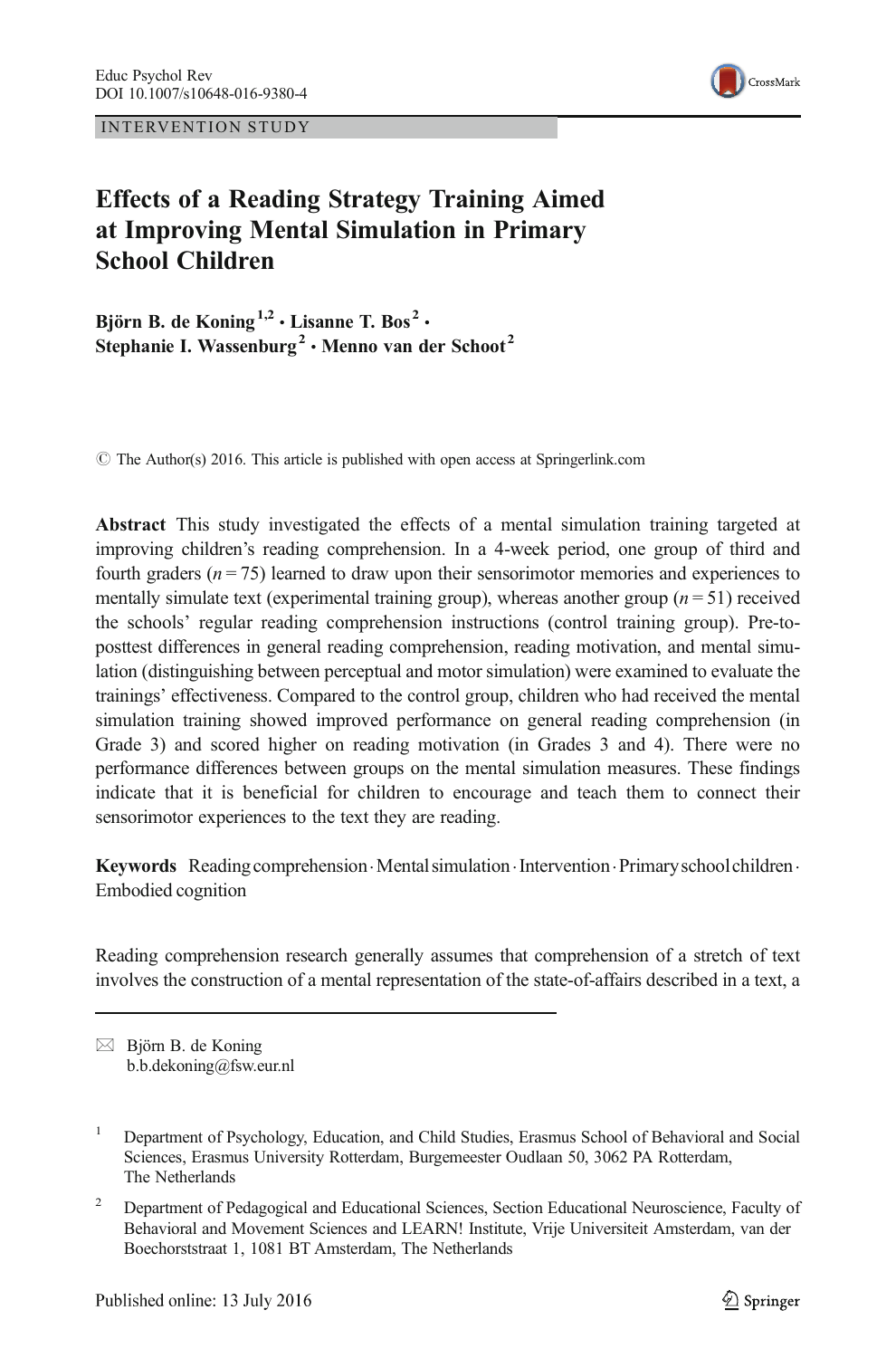INTERVENTION STUDY



# Effects of a Reading Strategy Training Aimed at Improving Mental Simulation in Primary School Children

Björn B. de Koning<sup>1,2</sup>  $\cdot$  Lisanne T. Bos<sup>2</sup>  $\cdot$ Stephanie I. Wassenburg<sup>2</sup> · Menno van der Schoot<sup>2</sup>

 $\degree$  The Author(s) 2016. This article is published with open access at Springerlink.com

Abstract This study investigated the effects of a mental simulation training targeted at improving children's reading comprehension. In a 4-week period, one group of third and fourth graders ( $n = 75$ ) learned to draw upon their sensorimotor memories and experiences to mentally simulate text (experimental training group), whereas another group  $(n = 51)$  received the schools' regular reading comprehension instructions (control training group). Pre-toposttest differences in general reading comprehension, reading motivation, and mental simulation (distinguishing between perceptual and motor simulation) were examined to evaluate the trainings' effectiveness. Compared to the control group, children who had received the mental simulation training showed improved performance on general reading comprehension (in Grade 3) and scored higher on reading motivation (in Grades 3 and 4). There were no performance differences between groups on the mental simulation measures. These findings indicate that it is beneficial for children to encourage and teach them to connect their sensorimotor experiences to the text they are reading.

Keywords Reading comprehension. Mental simulation. Intervention. Primary school children. Embodied cognition

Reading comprehension research generally assumes that comprehension of a stretch of text involves the construction of a mental representation of the state-of-affairs described in a text, a

 $\boxtimes$  Björn B. de Koning b.b.dekoning@fsw.eur.nl

<sup>&</sup>lt;sup>1</sup> Department of Psychology, Education, and Child Studies, Erasmus School of Behavioral and Social Sciences, Erasmus University Rotterdam, Burgemeester Oudlaan 50, 3062 PA Rotterdam, The Netherlands

<sup>2</sup> Department of Pedagogical and Educational Sciences, Section Educational Neuroscience, Faculty of Behavioral and Movement Sciences and LEARN! Institute, Vrije Universiteit Amsterdam, van der Boechorststraat 1, 1081 BT Amsterdam, The Netherlands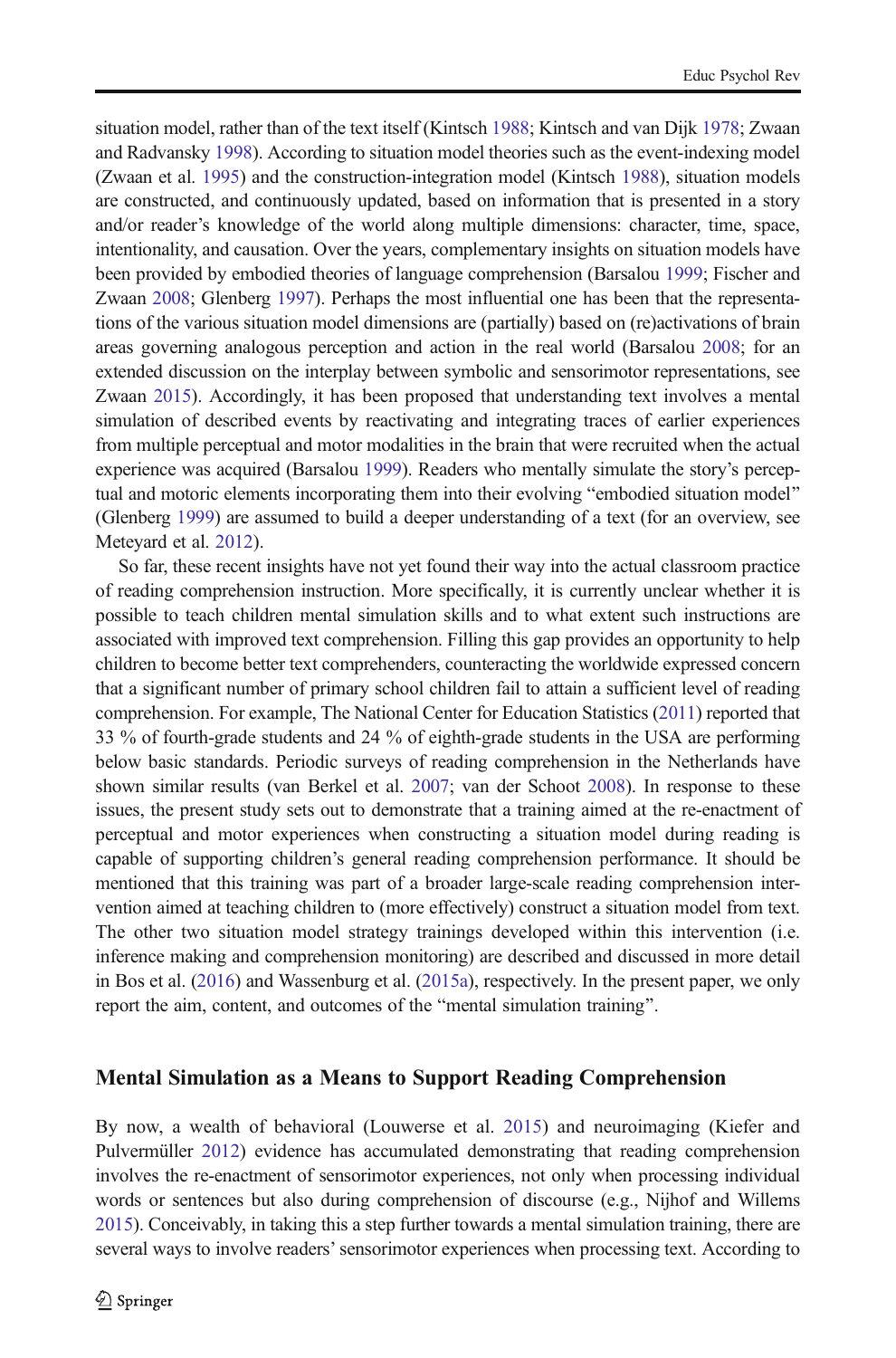situation model, rather than of the text itself (Kintsch [1988;](#page-19-0) Kintsch and van Dijk [1978;](#page-19-0) Zwaan and Radvansky [1998\)](#page-20-0). According to situation model theories such as the event-indexing model (Zwaan et al. [1995\)](#page-20-0) and the construction-integration model (Kintsch [1988](#page-19-0)), situation models are constructed, and continuously updated, based on information that is presented in a story and/or reader's knowledge of the world along multiple dimensions: character, time, space, intentionality, and causation. Over the years, complementary insights on situation models have been provided by embodied theories of language comprehension (Barsalou [1999;](#page-18-0) Fischer and Zwaan [2008](#page-18-0); Glenberg [1997](#page-18-0)). Perhaps the most influential one has been that the representations of the various situation model dimensions are (partially) based on (re)activations of brain areas governing analogous perception and action in the real world (Barsalou [2008](#page-18-0); for an extended discussion on the interplay between symbolic and sensorimotor representations, see Zwaan [2015\)](#page-19-0). Accordingly, it has been proposed that understanding text involves a mental simulation of described events by reactivating and integrating traces of earlier experiences from multiple perceptual and motor modalities in the brain that were recruited when the actual experience was acquired (Barsalou [1999](#page-18-0)). Readers who mentally simulate the story's perceptual and motoric elements incorporating them into their evolving "embodied situation model" (Glenberg [1999](#page-18-0)) are assumed to build a deeper understanding of a text (for an overview, see Meteyard et al. [2012](#page-19-0)).

So far, these recent insights have not yet found their way into the actual classroom practice of reading comprehension instruction. More specifically, it is currently unclear whether it is possible to teach children mental simulation skills and to what extent such instructions are associated with improved text comprehension. Filling this gap provides an opportunity to help children to become better text comprehenders, counteracting the worldwide expressed concern that a significant number of primary school children fail to attain a sufficient level of reading comprehension. For example, The National Center for Education Statistics [\(2011](#page-19-0)) reported that 33 % of fourth-grade students and 24 % of eighth-grade students in the USA are performing below basic standards. Periodic surveys of reading comprehension in the Netherlands have shown similar results (van Berkel et al. [2007](#page-19-0); van der Schoot [2008\)](#page-19-0). In response to these issues, the present study sets out to demonstrate that a training aimed at the re-enactment of perceptual and motor experiences when constructing a situation model during reading is capable of supporting children's general reading comprehension performance. It should be mentioned that this training was part of a broader large-scale reading comprehension intervention aimed at teaching children to (more effectively) construct a situation model from text. The other two situation model strategy trainings developed within this intervention (i.e. inference making and comprehension monitoring) are described and discussed in more detail in Bos et al. ([2016](#page-18-0)) and Wassenburg et al. [\(2015a](#page-19-0)), respectively. In the present paper, we only report the aim, content, and outcomes of the "mental simulation training".

## Mental Simulation as a Means to Support Reading Comprehension

By now, a wealth of behavioral (Louwerse et al. [2015](#page-19-0)) and neuroimaging (Kiefer and Pulvermüller [2012\)](#page-19-0) evidence has accumulated demonstrating that reading comprehension involves the re-enactment of sensorimotor experiences, not only when processing individual words or sentences but also during comprehension of discourse (e.g., Nijhof and Willems [2015](#page-19-0)). Conceivably, in taking this a step further towards a mental simulation training, there are several ways to involve readers' sensorimotor experiences when processing text. According to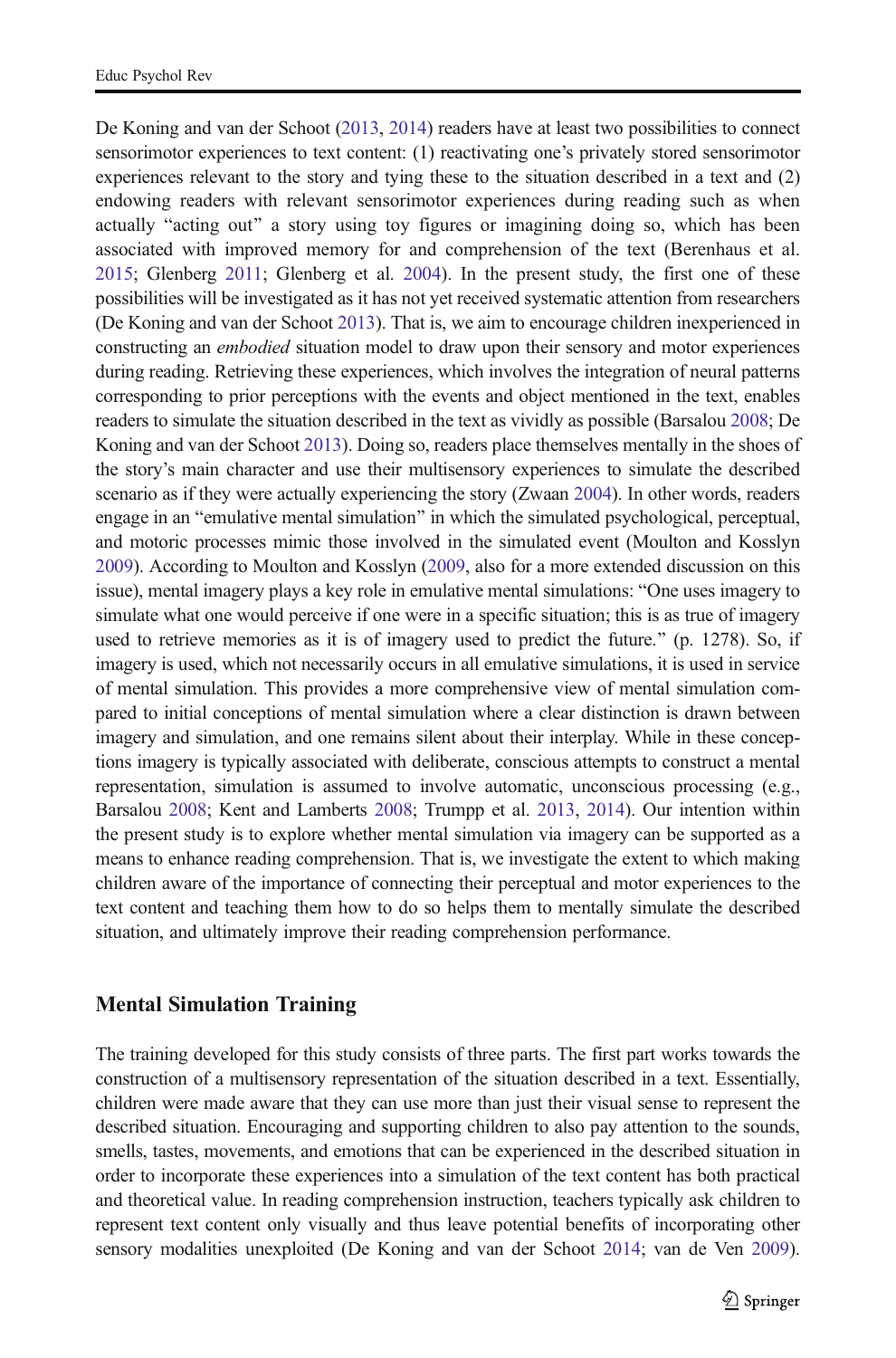De Koning and van der Schoot ([2013](#page-18-0), [2014](#page-18-0)) readers have at least two possibilities to connect sensorimotor experiences to text content: (1) reactivating one's privately stored sensorimotor experiences relevant to the story and tying these to the situation described in a text and (2) endowing readers with relevant sensorimotor experiences during reading such as when actually "acting out" a story using toy figures or imagining doing so, which has been associated with improved memory for and comprehension of the text (Berenhaus et al. [2015](#page-18-0); Glenberg [2011;](#page-18-0) Glenberg et al. [2004](#page-18-0)). In the present study, the first one of these possibilities will be investigated as it has not yet received systematic attention from researchers (De Koning and van der Schoot [2013](#page-18-0)). That is, we aim to encourage children inexperienced in constructing an *embodied* situation model to draw upon their sensory and motor experiences during reading. Retrieving these experiences, which involves the integration of neural patterns corresponding to prior perceptions with the events and object mentioned in the text, enables readers to simulate the situation described in the text as vividly as possible (Barsalou [2008](#page-18-0); De Koning and van der Schoot [2013\)](#page-18-0). Doing so, readers place themselves mentally in the shoes of the story's main character and use their multisensory experiences to simulate the described scenario as if they were actually experiencing the story (Zwaan [2004](#page-19-0)). In other words, readers engage in an "emulative mental simulation" in which the simulated psychological, perceptual, and motoric processes mimic those involved in the simulated event (Moulton and Kosslyn [2009](#page-19-0)). According to Moulton and Kosslyn ([2009](#page-19-0), also for a more extended discussion on this issue), mental imagery plays a key role in emulative mental simulations: "One uses imagery to simulate what one would perceive if one were in a specific situation; this is as true of imagery used to retrieve memories as it is of imagery used to predict the future." (p. 1278). So, if imagery is used, which not necessarily occurs in all emulative simulations, it is used in service of mental simulation. This provides a more comprehensive view of mental simulation compared to initial conceptions of mental simulation where a clear distinction is drawn between imagery and simulation, and one remains silent about their interplay. While in these conceptions imagery is typically associated with deliberate, conscious attempts to construct a mental representation, simulation is assumed to involve automatic, unconscious processing (e.g., Barsalou [2008](#page-18-0); Kent and Lamberts [2008](#page-19-0); Trumpp et al. [2013](#page-19-0), [2014\)](#page-19-0). Our intention within the present study is to explore whether mental simulation via imagery can be supported as a means to enhance reading comprehension. That is, we investigate the extent to which making children aware of the importance of connecting their perceptual and motor experiences to the text content and teaching them how to do so helps them to mentally simulate the described situation, and ultimately improve their reading comprehension performance.

## Mental Simulation Training

The training developed for this study consists of three parts. The first part works towards the construction of a multisensory representation of the situation described in a text. Essentially, children were made aware that they can use more than just their visual sense to represent the described situation. Encouraging and supporting children to also pay attention to the sounds, smells, tastes, movements, and emotions that can be experienced in the described situation in order to incorporate these experiences into a simulation of the text content has both practical and theoretical value. In reading comprehension instruction, teachers typically ask children to represent text content only visually and thus leave potential benefits of incorporating other sensory modalities unexploited (De Koning and van der Schoot [2014](#page-18-0); van de Ven [2009](#page-19-0)).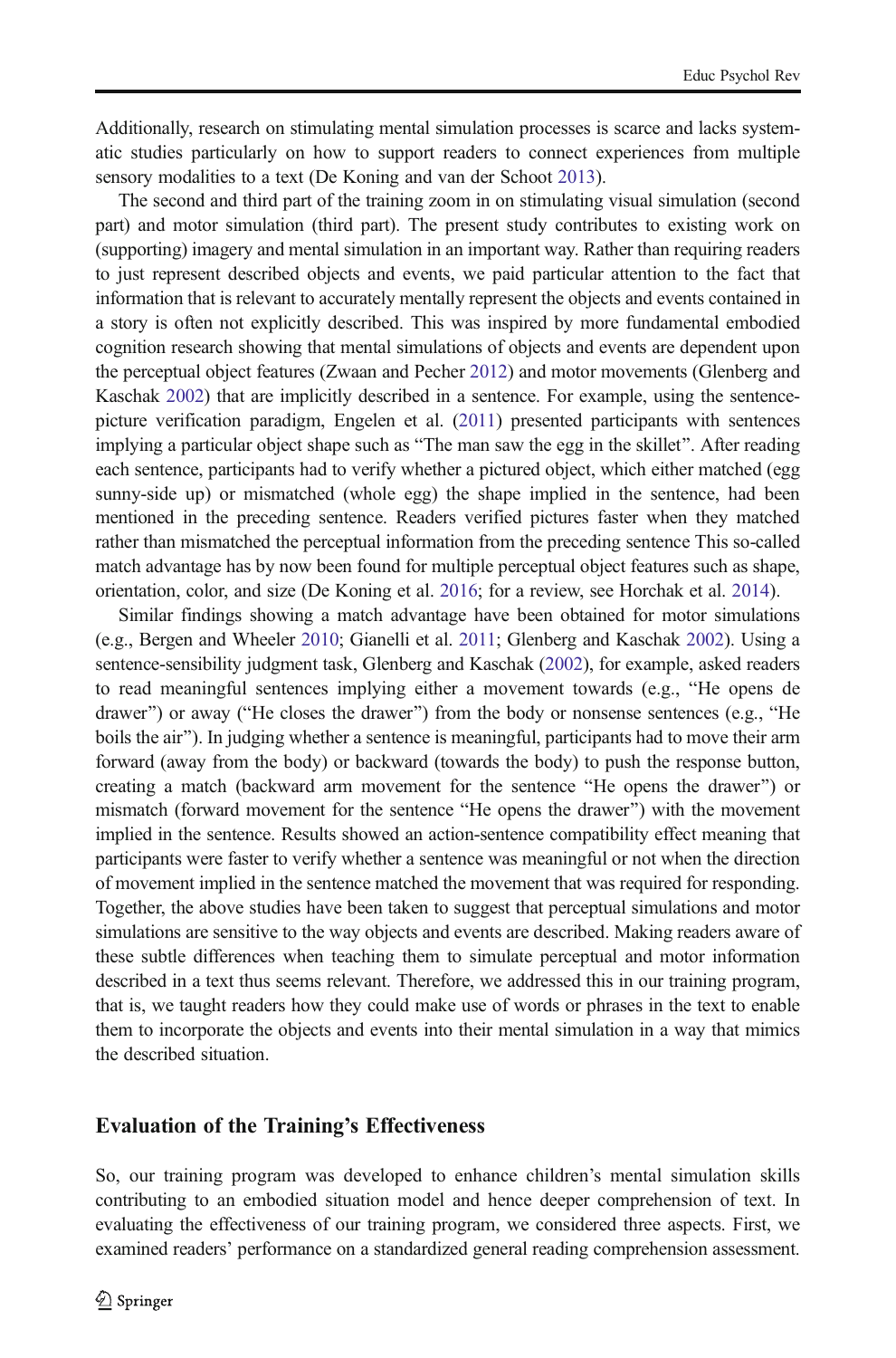Additionally, research on stimulating mental simulation processes is scarce and lacks systematic studies particularly on how to support readers to connect experiences from multiple sensory modalities to a text (De Koning and van der Schoot [2013](#page-18-0)).

The second and third part of the training zoom in on stimulating visual simulation (second part) and motor simulation (third part). The present study contributes to existing work on (supporting) imagery and mental simulation in an important way. Rather than requiring readers to just represent described objects and events, we paid particular attention to the fact that information that is relevant to accurately mentally represent the objects and events contained in a story is often not explicitly described. This was inspired by more fundamental embodied cognition research showing that mental simulations of objects and events are dependent upon the perceptual object features (Zwaan and Pecher [2012](#page-19-0)) and motor movements (Glenberg and Kaschak [2002](#page-18-0)) that are implicitly described in a sentence. For example, using the sentencepicture verification paradigm, Engelen et al. [\(2011](#page-18-0)) presented participants with sentences implying a particular object shape such as "The man saw the egg in the skillet". After reading each sentence, participants had to verify whether a pictured object, which either matched (egg sunny-side up) or mismatched (whole egg) the shape implied in the sentence, had been mentioned in the preceding sentence. Readers verified pictures faster when they matched rather than mismatched the perceptual information from the preceding sentence This so-called match advantage has by now been found for multiple perceptual object features such as shape, orientation, color, and size (De Koning et al. [2016](#page-18-0); for a review, see Horchak et al. [2014\)](#page-18-0).

Similar findings showing a match advantage have been obtained for motor simulations (e.g., Bergen and Wheeler [2010](#page-18-0); Gianelli et al. [2011](#page-18-0); Glenberg and Kaschak [2002](#page-18-0)). Using a sentence-sensibility judgment task, Glenberg and Kaschak [\(2002](#page-18-0)), for example, asked readers to read meaningful sentences implying either a movement towards (e.g., "He opens de drawer") or away ("He closes the drawer") from the body or nonsense sentences (e.g., "He boils the air"). In judging whether a sentence is meaningful, participants had to move their arm forward (away from the body) or backward (towards the body) to push the response button, creating a match (backward arm movement for the sentence "He opens the drawer") or mismatch (forward movement for the sentence "He opens the drawer") with the movement implied in the sentence. Results showed an action-sentence compatibility effect meaning that participants were faster to verify whether a sentence was meaningful or not when the direction of movement implied in the sentence matched the movement that was required for responding. Together, the above studies have been taken to suggest that perceptual simulations and motor simulations are sensitive to the way objects and events are described. Making readers aware of these subtle differences when teaching them to simulate perceptual and motor information described in a text thus seems relevant. Therefore, we addressed this in our training program, that is, we taught readers how they could make use of words or phrases in the text to enable them to incorporate the objects and events into their mental simulation in a way that mimics the described situation.

#### Evaluation of the Training's Effectiveness

So, our training program was developed to enhance children's mental simulation skills contributing to an embodied situation model and hence deeper comprehension of text. In evaluating the effectiveness of our training program, we considered three aspects. First, we examined readers' performance on a standardized general reading comprehension assessment.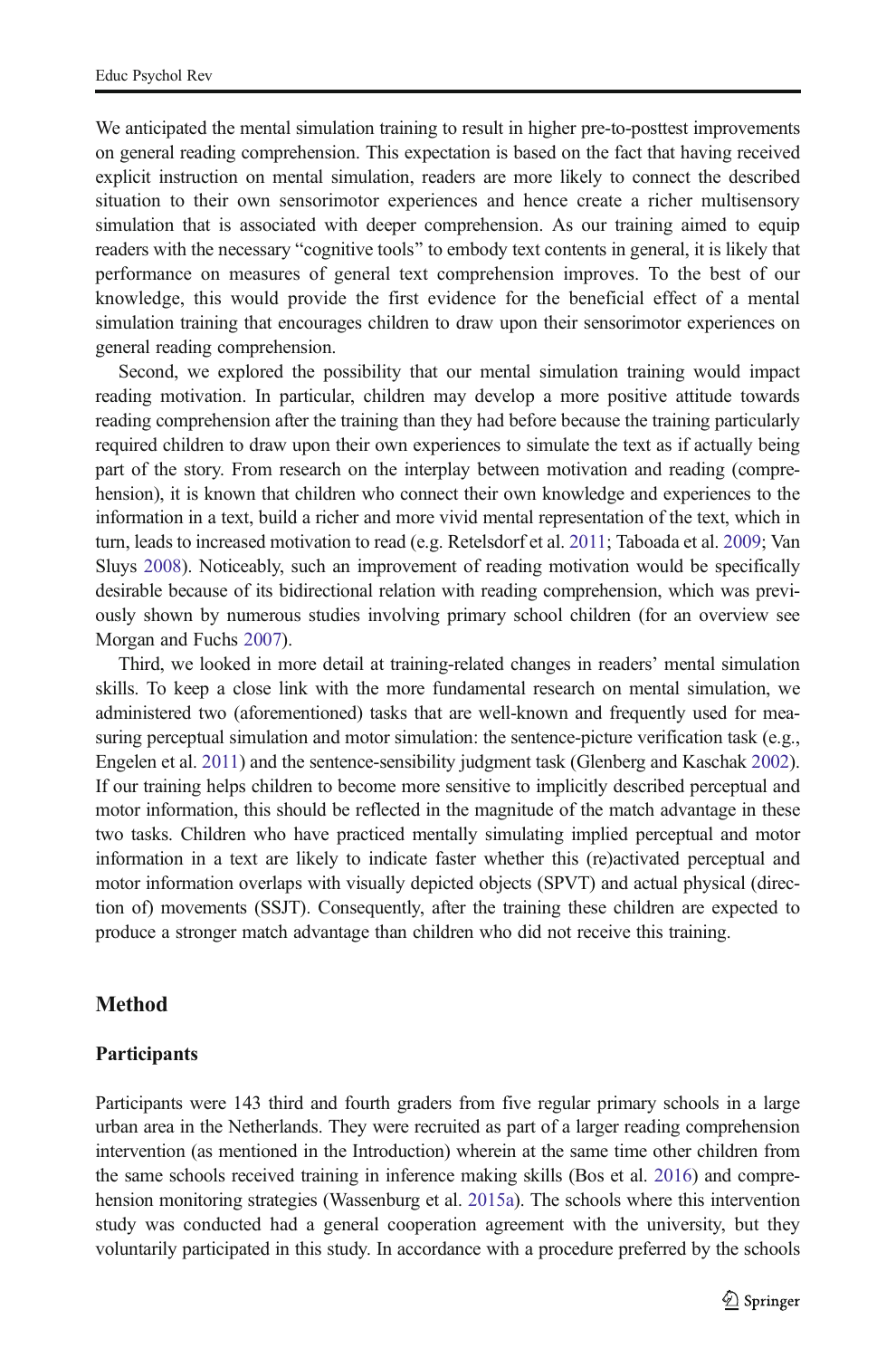We anticipated the mental simulation training to result in higher pre-to-posttest improvements on general reading comprehension. This expectation is based on the fact that having received explicit instruction on mental simulation, readers are more likely to connect the described situation to their own sensorimotor experiences and hence create a richer multisensory simulation that is associated with deeper comprehension. As our training aimed to equip readers with the necessary "cognitive tools" to embody text contents in general, it is likely that performance on measures of general text comprehension improves. To the best of our knowledge, this would provide the first evidence for the beneficial effect of a mental simulation training that encourages children to draw upon their sensorimotor experiences on general reading comprehension.

Second, we explored the possibility that our mental simulation training would impact reading motivation. In particular, children may develop a more positive attitude towards reading comprehension after the training than they had before because the training particularly required children to draw upon their own experiences to simulate the text as if actually being part of the story. From research on the interplay between motivation and reading (comprehension), it is known that children who connect their own knowledge and experiences to the information in a text, build a richer and more vivid mental representation of the text, which in turn, leads to increased motivation to read (e.g. Retelsdorf et al. [2011;](#page-19-0) Taboada et al. [2009](#page-19-0); Van Sluys [2008](#page-19-0)). Noticeably, such an improvement of reading motivation would be specifically desirable because of its bidirectional relation with reading comprehension, which was previously shown by numerous studies involving primary school children (for an overview see Morgan and Fuchs [2007](#page-19-0)).

Third, we looked in more detail at training-related changes in readers' mental simulation skills. To keep a close link with the more fundamental research on mental simulation, we administered two (aforementioned) tasks that are well-known and frequently used for measuring perceptual simulation and motor simulation: the sentence-picture verification task (e.g., Engelen et al. [2011](#page-18-0)) and the sentence-sensibility judgment task (Glenberg and Kaschak [2002](#page-18-0)). If our training helps children to become more sensitive to implicitly described perceptual and motor information, this should be reflected in the magnitude of the match advantage in these two tasks. Children who have practiced mentally simulating implied perceptual and motor information in a text are likely to indicate faster whether this (re)activated perceptual and motor information overlaps with visually depicted objects (SPVT) and actual physical (direction of) movements (SSJT). Consequently, after the training these children are expected to produce a stronger match advantage than children who did not receive this training.

### Method

#### **Participants**

Participants were 143 third and fourth graders from five regular primary schools in a large urban area in the Netherlands. They were recruited as part of a larger reading comprehension intervention (as mentioned in the Introduction) wherein at the same time other children from the same schools received training in inference making skills (Bos et al. [2016\)](#page-18-0) and comprehension monitoring strategies (Wassenburg et al. [2015a](#page-19-0)). The schools where this intervention study was conducted had a general cooperation agreement with the university, but they voluntarily participated in this study. In accordance with a procedure preferred by the schools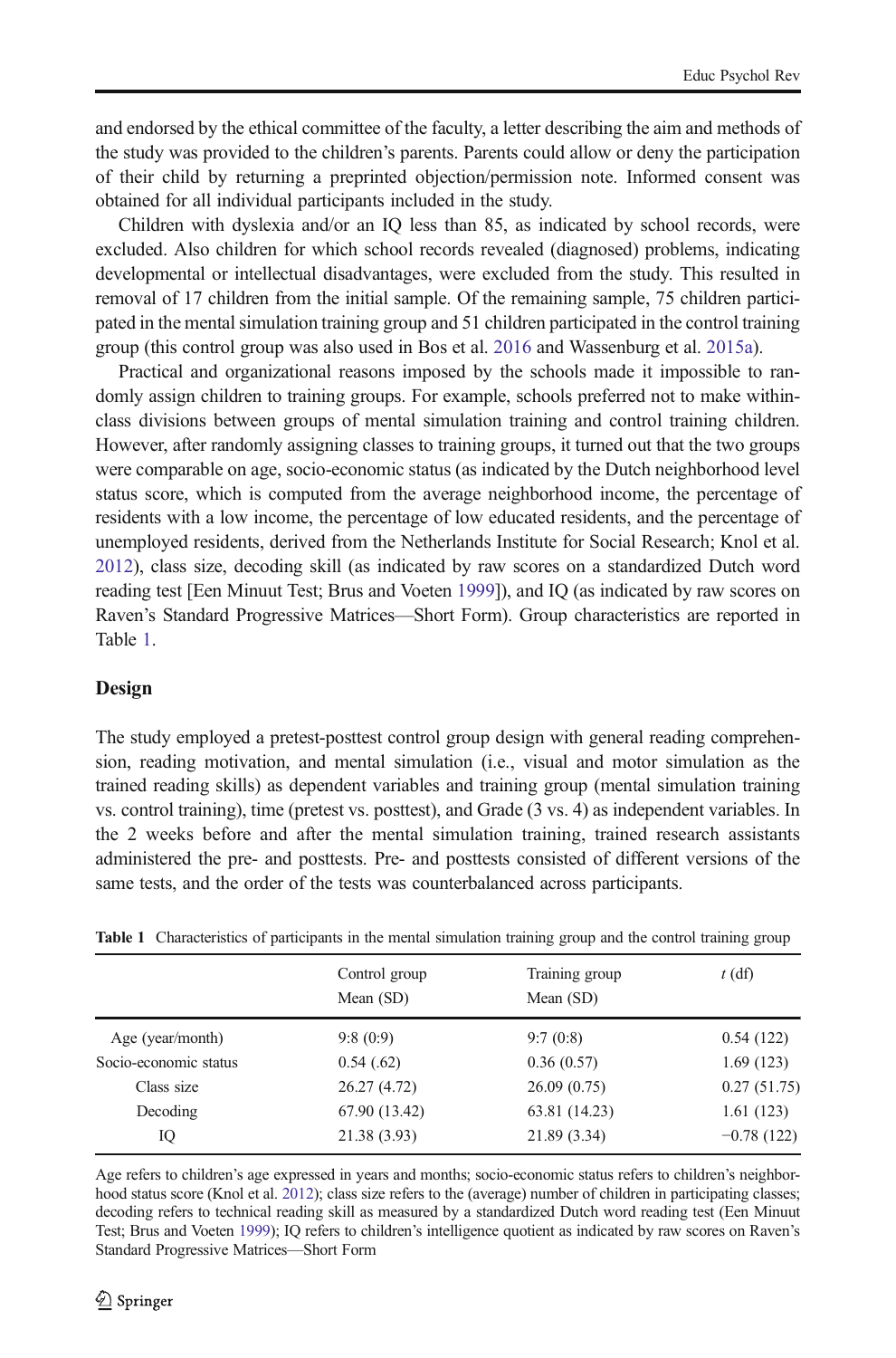and endorsed by the ethical committee of the faculty, a letter describing the aim and methods of the study was provided to the children's parents. Parents could allow or deny the participation of their child by returning a preprinted objection/permission note. Informed consent was obtained for all individual participants included in the study.

Children with dyslexia and/or an IQ less than 85, as indicated by school records, were excluded. Also children for which school records revealed (diagnosed) problems, indicating developmental or intellectual disadvantages, were excluded from the study. This resulted in removal of 17 children from the initial sample. Of the remaining sample, 75 children participated in the mental simulation training group and 51 children participated in the control training group (this control group was also used in Bos et al. [2016](#page-18-0) and Wassenburg et al. [2015a](#page-19-0)).

Practical and organizational reasons imposed by the schools made it impossible to randomly assign children to training groups. For example, schools preferred not to make withinclass divisions between groups of mental simulation training and control training children. However, after randomly assigning classes to training groups, it turned out that the two groups were comparable on age, socio-economic status (as indicated by the Dutch neighborhood level status score, which is computed from the average neighborhood income, the percentage of residents with a low income, the percentage of low educated residents, and the percentage of unemployed residents, derived from the Netherlands Institute for Social Research; Knol et al. [2012](#page-19-0)), class size, decoding skill (as indicated by raw scores on a standardized Dutch word reading test [Een Minuut Test; Brus and Voeten [1999\]](#page-18-0)), and IQ (as indicated by raw scores on Raven's Standard Progressive Matrices—Short Form). Group characteristics are reported in Table 1.

### Design

The study employed a pretest-posttest control group design with general reading comprehension, reading motivation, and mental simulation (i.e., visual and motor simulation as the trained reading skills) as dependent variables and training group (mental simulation training vs. control training), time (pretest vs. posttest), and Grade (3 vs. 4) as independent variables. In the 2 weeks before and after the mental simulation training, trained research assistants administered the pre- and posttests. Pre- and posttests consisted of different versions of the same tests, and the order of the tests was counterbalanced across participants.

|                       | Control group<br>Mean (SD) | Training group<br>Mean (SD) | $t$ (df)     |
|-----------------------|----------------------------|-----------------------------|--------------|
| Age (year/month)      | 9:8(0:9)                   | 9:7(0:8)                    | 0.54(122)    |
| Socio-economic status | 0.54(0.62)                 | 0.36(0.57)                  | 1.69(123)    |
| Class size            | 26.27 (4.72)               | 26.09(0.75)                 | 0.27(51.75)  |
| Decoding              | 67.90 (13.42)              | 63.81 (14.23)               | 1.61(123)    |
| IQ                    | 21.38 (3.93)               | 21.89 (3.34)                | $-0.78(122)$ |
|                       |                            |                             |              |

Table 1 Characteristics of participants in the mental simulation training group and the control training group

Age refers to children's age expressed in years and months; socio-economic status refers to children's neighborhood status score (Knol et al. [2012\)](#page-19-0); class size refers to the (average) number of children in participating classes; decoding refers to technical reading skill as measured by a standardized Dutch word reading test (Een Minuut Test; Brus and Voeten [1999\)](#page-18-0); IQ refers to children's intelligence quotient as indicated by raw scores on Raven's Standard Progressive Matrices—Short Form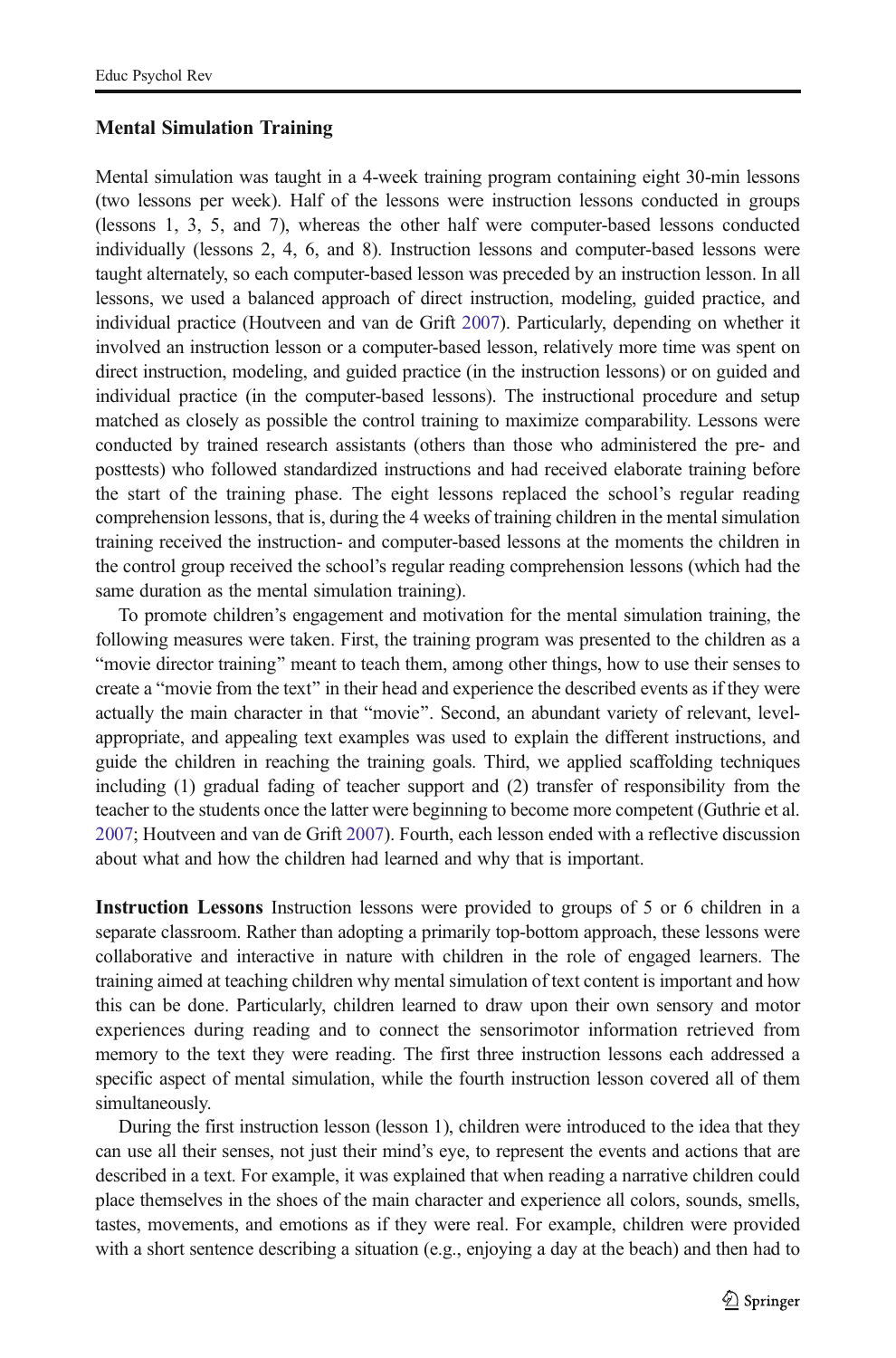#### Mental Simulation Training

Mental simulation was taught in a 4-week training program containing eight 30-min lessons (two lessons per week). Half of the lessons were instruction lessons conducted in groups (lessons 1, 3, 5, and 7), whereas the other half were computer-based lessons conducted individually (lessons 2, 4, 6, and 8). Instruction lessons and computer-based lessons were taught alternately, so each computer-based lesson was preceded by an instruction lesson. In all lessons, we used a balanced approach of direct instruction, modeling, guided practice, and individual practice (Houtveen and van de Grift [2007](#page-18-0)). Particularly, depending on whether it involved an instruction lesson or a computer-based lesson, relatively more time was spent on direct instruction, modeling, and guided practice (in the instruction lessons) or on guided and individual practice (in the computer-based lessons). The instructional procedure and setup matched as closely as possible the control training to maximize comparability. Lessons were conducted by trained research assistants (others than those who administered the pre- and posttests) who followed standardized instructions and had received elaborate training before the start of the training phase. The eight lessons replaced the school's regular reading comprehension lessons, that is, during the 4 weeks of training children in the mental simulation training received the instruction- and computer-based lessons at the moments the children in the control group received the school's regular reading comprehension lessons (which had the same duration as the mental simulation training).

To promote children's engagement and motivation for the mental simulation training, the following measures were taken. First, the training program was presented to the children as a "movie director training" meant to teach them, among other things, how to use their senses to create a "movie from the text" in their head and experience the described events as if they were actually the main character in that "movie". Second, an abundant variety of relevant, levelappropriate, and appealing text examples was used to explain the different instructions, and guide the children in reaching the training goals. Third, we applied scaffolding techniques including (1) gradual fading of teacher support and (2) transfer of responsibility from the teacher to the students once the latter were beginning to become more competent (Guthrie et al. [2007](#page-18-0); Houtveen and van de Grift [2007](#page-18-0)). Fourth, each lesson ended with a reflective discussion about what and how the children had learned and why that is important.

Instruction Lessons Instruction lessons were provided to groups of 5 or 6 children in a separate classroom. Rather than adopting a primarily top-bottom approach, these lessons were collaborative and interactive in nature with children in the role of engaged learners. The training aimed at teaching children why mental simulation of text content is important and how this can be done. Particularly, children learned to draw upon their own sensory and motor experiences during reading and to connect the sensorimotor information retrieved from memory to the text they were reading. The first three instruction lessons each addressed a specific aspect of mental simulation, while the fourth instruction lesson covered all of them simultaneously.

During the first instruction lesson (lesson 1), children were introduced to the idea that they can use all their senses, not just their mind's eye, to represent the events and actions that are described in a text. For example, it was explained that when reading a narrative children could place themselves in the shoes of the main character and experience all colors, sounds, smells, tastes, movements, and emotions as if they were real. For example, children were provided with a short sentence describing a situation (e.g., enjoying a day at the beach) and then had to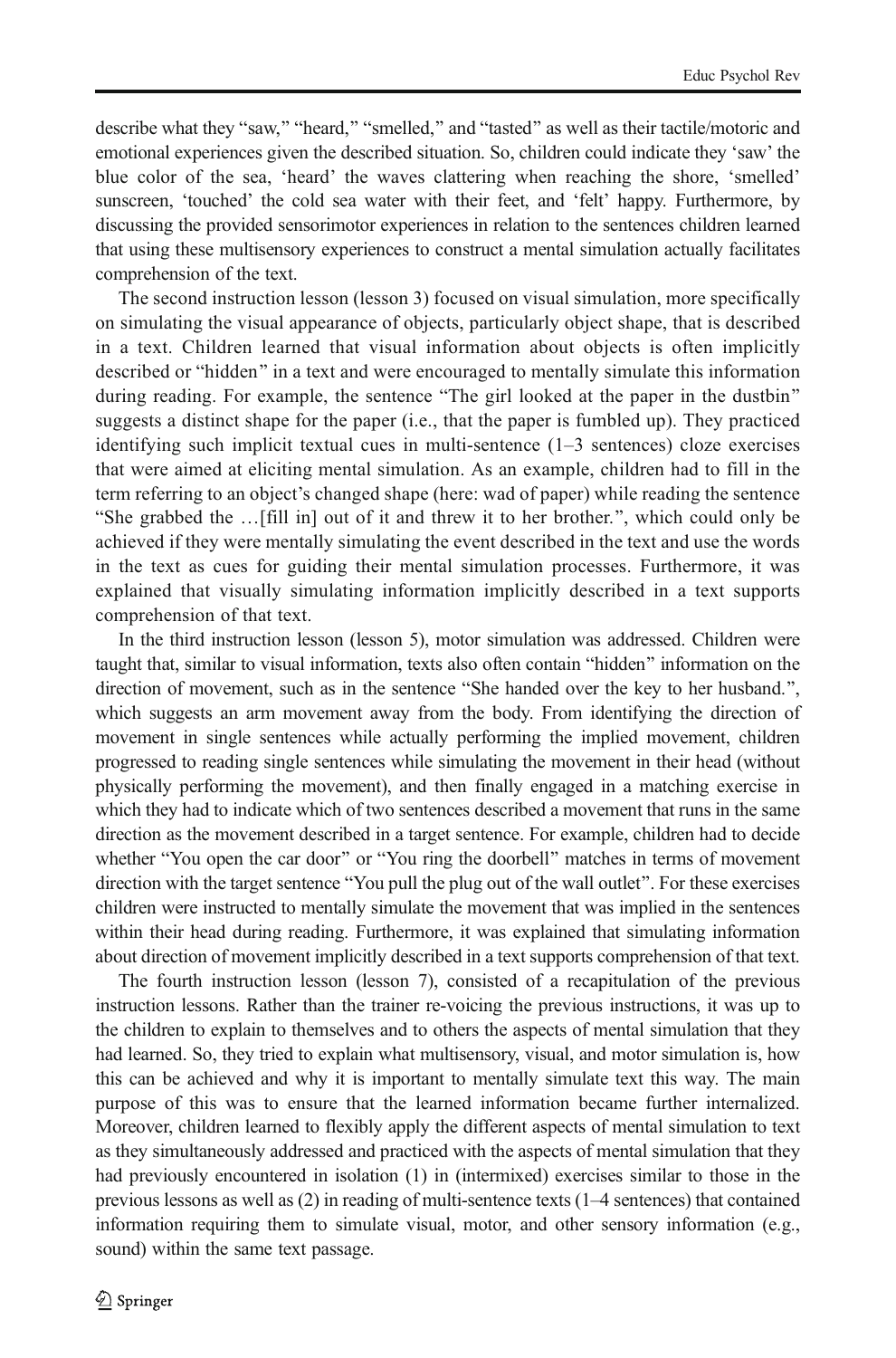describe what they "saw," "heard," "smelled," and "tasted" as well as their tactile/motoric and emotional experiences given the described situation. So, children could indicate they 'saw' the blue color of the sea, 'heard' the waves clattering when reaching the shore, 'smelled' sunscreen, 'touched' the cold sea water with their feet, and 'felt' happy. Furthermore, by discussing the provided sensorimotor experiences in relation to the sentences children learned that using these multisensory experiences to construct a mental simulation actually facilitates comprehension of the text.

The second instruction lesson (lesson 3) focused on visual simulation, more specifically on simulating the visual appearance of objects, particularly object shape, that is described in a text. Children learned that visual information about objects is often implicitly described or "hidden" in a text and were encouraged to mentally simulate this information during reading. For example, the sentence "The girl looked at the paper in the dustbin" suggests a distinct shape for the paper (i.e., that the paper is fumbled up). They practiced identifying such implicit textual cues in multi-sentence (1–3 sentences) cloze exercises that were aimed at eliciting mental simulation. As an example, children had to fill in the term referring to an object's changed shape (here: wad of paper) while reading the sentence "She grabbed the  $\ldots$ [fill in] out of it and threw it to her brother.", which could only be achieved if they were mentally simulating the event described in the text and use the words in the text as cues for guiding their mental simulation processes. Furthermore, it was explained that visually simulating information implicitly described in a text supports comprehension of that text.

In the third instruction lesson (lesson 5), motor simulation was addressed. Children were taught that, similar to visual information, texts also often contain "hidden" information on the direction of movement, such as in the sentence "She handed over the key to her husband.", which suggests an arm movement away from the body. From identifying the direction of movement in single sentences while actually performing the implied movement, children progressed to reading single sentences while simulating the movement in their head (without physically performing the movement), and then finally engaged in a matching exercise in which they had to indicate which of two sentences described a movement that runs in the same direction as the movement described in a target sentence. For example, children had to decide whether "You open the car door" or "You ring the doorbell" matches in terms of movement direction with the target sentence "You pull the plug out of the wall outlet". For these exercises children were instructed to mentally simulate the movement that was implied in the sentences within their head during reading. Furthermore, it was explained that simulating information about direction of movement implicitly described in a text supports comprehension of that text.

The fourth instruction lesson (lesson 7), consisted of a recapitulation of the previous instruction lessons. Rather than the trainer re-voicing the previous instructions, it was up to the children to explain to themselves and to others the aspects of mental simulation that they had learned. So, they tried to explain what multisensory, visual, and motor simulation is, how this can be achieved and why it is important to mentally simulate text this way. The main purpose of this was to ensure that the learned information became further internalized. Moreover, children learned to flexibly apply the different aspects of mental simulation to text as they simultaneously addressed and practiced with the aspects of mental simulation that they had previously encountered in isolation (1) in (intermixed) exercises similar to those in the previous lessons as well as (2) in reading of multi-sentence texts (1–4 sentences) that contained information requiring them to simulate visual, motor, and other sensory information (e.g., sound) within the same text passage.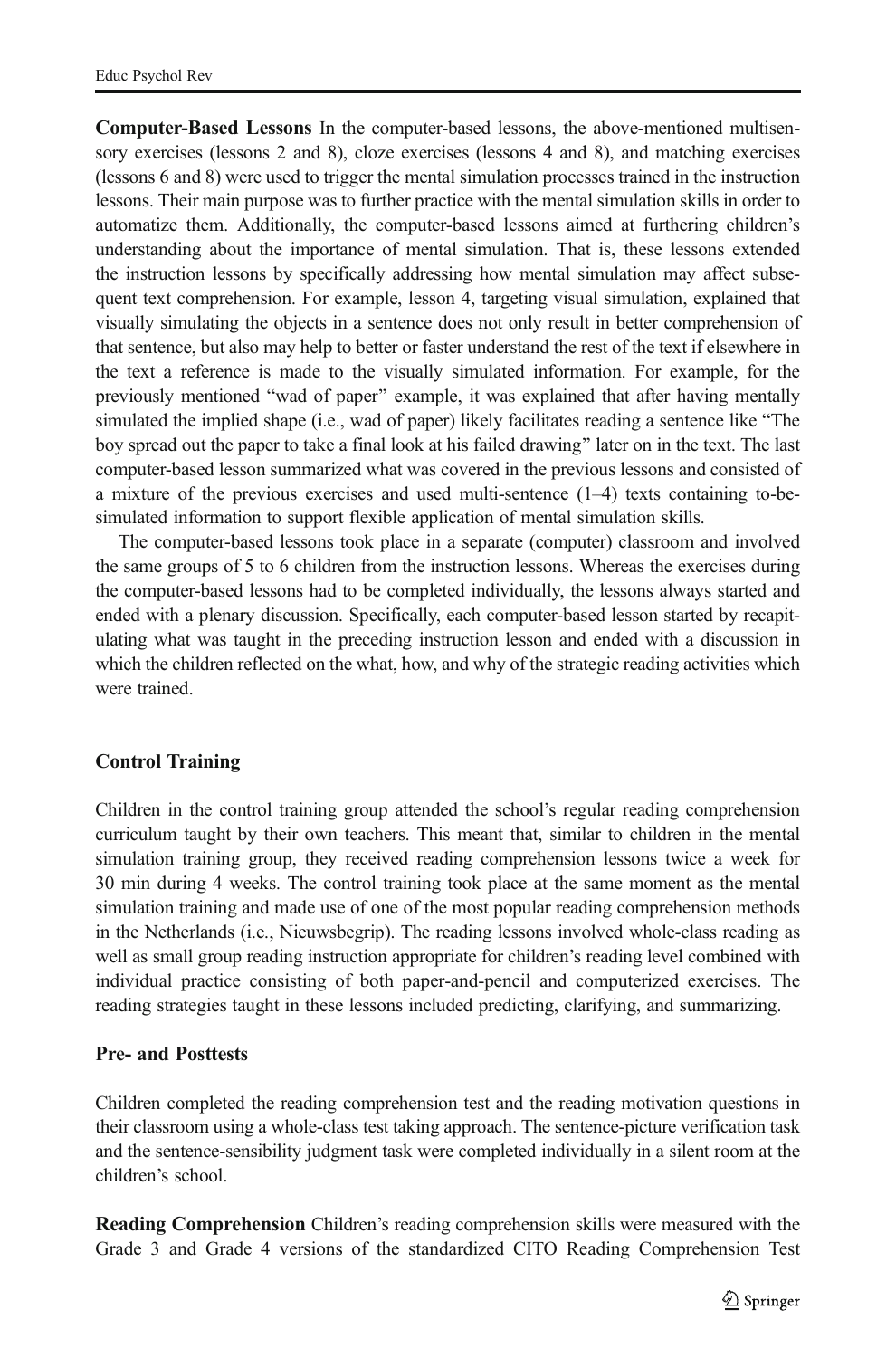Computer-Based Lessons In the computer-based lessons, the above-mentioned multisensory exercises (lessons 2 and 8), cloze exercises (lessons 4 and 8), and matching exercises (lessons 6 and 8) were used to trigger the mental simulation processes trained in the instruction lessons. Their main purpose was to further practice with the mental simulation skills in order to automatize them. Additionally, the computer-based lessons aimed at furthering children's understanding about the importance of mental simulation. That is, these lessons extended the instruction lessons by specifically addressing how mental simulation may affect subsequent text comprehension. For example, lesson 4, targeting visual simulation, explained that visually simulating the objects in a sentence does not only result in better comprehension of that sentence, but also may help to better or faster understand the rest of the text if elsewhere in the text a reference is made to the visually simulated information. For example, for the previously mentioned "wad of paper" example, it was explained that after having mentally simulated the implied shape (i.e., wad of paper) likely facilitates reading a sentence like "The boy spread out the paper to take a final look at his failed drawing" later on in the text. The last computer-based lesson summarized what was covered in the previous lessons and consisted of a mixture of the previous exercises and used multi-sentence (1–4) texts containing to-besimulated information to support flexible application of mental simulation skills.

The computer-based lessons took place in a separate (computer) classroom and involved the same groups of 5 to 6 children from the instruction lessons. Whereas the exercises during the computer-based lessons had to be completed individually, the lessons always started and ended with a plenary discussion. Specifically, each computer-based lesson started by recapitulating what was taught in the preceding instruction lesson and ended with a discussion in which the children reflected on the what, how, and why of the strategic reading activities which were trained.

# Control Training

Children in the control training group attended the school's regular reading comprehension curriculum taught by their own teachers. This meant that, similar to children in the mental simulation training group, they received reading comprehension lessons twice a week for 30 min during 4 weeks. The control training took place at the same moment as the mental simulation training and made use of one of the most popular reading comprehension methods in the Netherlands (i.e., Nieuwsbegrip). The reading lessons involved whole-class reading as well as small group reading instruction appropriate for children's reading level combined with individual practice consisting of both paper-and-pencil and computerized exercises. The reading strategies taught in these lessons included predicting, clarifying, and summarizing.

# Pre- and Posttests

Children completed the reading comprehension test and the reading motivation questions in their classroom using a whole-class test taking approach. The sentence-picture verification task and the sentence-sensibility judgment task were completed individually in a silent room at the children's school.

Reading Comprehension Children's reading comprehension skills were measured with the Grade 3 and Grade 4 versions of the standardized CITO Reading Comprehension Test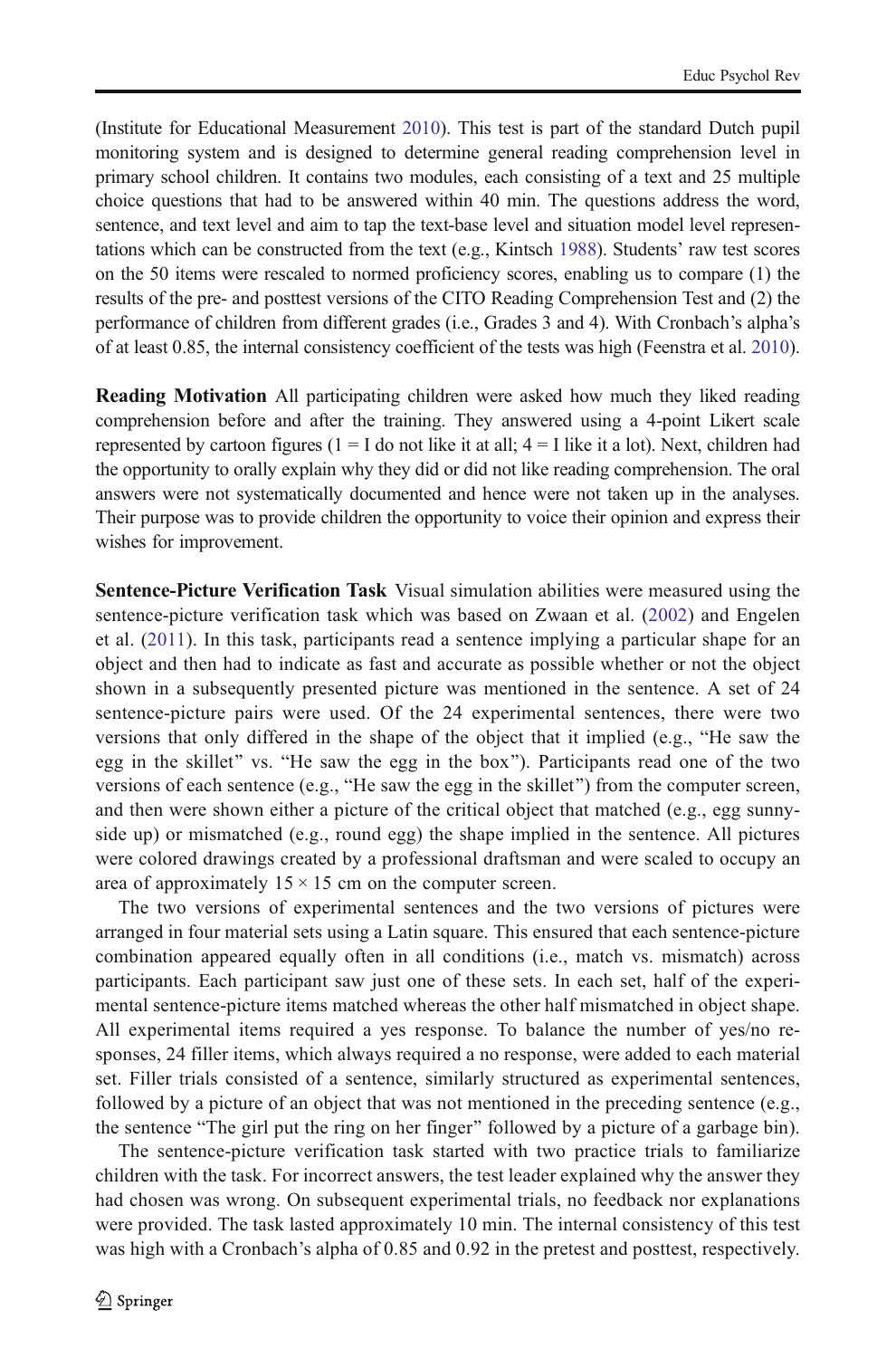(Institute for Educational Measurement [2010\)](#page-19-0). This test is part of the standard Dutch pupil monitoring system and is designed to determine general reading comprehension level in primary school children. It contains two modules, each consisting of a text and 25 multiple choice questions that had to be answered within 40 min. The questions address the word, sentence, and text level and aim to tap the text-base level and situation model level representations which can be constructed from the text (e.g., Kintsch [1988\)](#page-19-0). Students' raw test scores on the 50 items were rescaled to normed proficiency scores, enabling us to compare (1) the results of the pre- and posttest versions of the CITO Reading Comprehension Test and (2) the performance of children from different grades (i.e., Grades 3 and 4). With Cronbach's alpha's of at least 0.85, the internal consistency coefficient of the tests was high (Feenstra et al. [2010](#page-18-0)).

Reading Motivation All participating children were asked how much they liked reading comprehension before and after the training. They answered using a 4-point Likert scale represented by cartoon figures ( $1 = I$  do not like it at all;  $4 = I$  like it a lot). Next, children had the opportunity to orally explain why they did or did not like reading comprehension. The oral answers were not systematically documented and hence were not taken up in the analyses. Their purpose was to provide children the opportunity to voice their opinion and express their wishes for improvement.

Sentence-Picture Verification Task Visual simulation abilities were measured using the sentence-picture verification task which was based on Zwaan et al. [\(2002](#page-20-0)) and Engelen et al. [\(2011](#page-18-0)). In this task, participants read a sentence implying a particular shape for an object and then had to indicate as fast and accurate as possible whether or not the object shown in a subsequently presented picture was mentioned in the sentence. A set of 24 sentence-picture pairs were used. Of the 24 experimental sentences, there were two versions that only differed in the shape of the object that it implied (e.g., "He saw the egg in the skillet" vs. "He saw the egg in the box"). Participants read one of the two versions of each sentence (e.g., "He saw the egg in the skillet") from the computer screen, and then were shown either a picture of the critical object that matched (e.g., egg sunnyside up) or mismatched (e.g., round egg) the shape implied in the sentence. All pictures were colored drawings created by a professional draftsman and were scaled to occupy an area of approximately  $15 \times 15$  cm on the computer screen.

The two versions of experimental sentences and the two versions of pictures were arranged in four material sets using a Latin square. This ensured that each sentence-picture combination appeared equally often in all conditions (i.e., match vs. mismatch) across participants. Each participant saw just one of these sets. In each set, half of the experimental sentence-picture items matched whereas the other half mismatched in object shape. All experimental items required a yes response. To balance the number of yes/no responses, 24 filler items, which always required a no response, were added to each material set. Filler trials consisted of a sentence, similarly structured as experimental sentences, followed by a picture of an object that was not mentioned in the preceding sentence (e.g., the sentence "The girl put the ring on her finger" followed by a picture of a garbage bin).

The sentence-picture verification task started with two practice trials to familiarize children with the task. For incorrect answers, the test leader explained why the answer they had chosen was wrong. On subsequent experimental trials, no feedback nor explanations were provided. The task lasted approximately 10 min. The internal consistency of this test was high with a Cronbach's alpha of 0.85 and 0.92 in the pretest and posttest, respectively.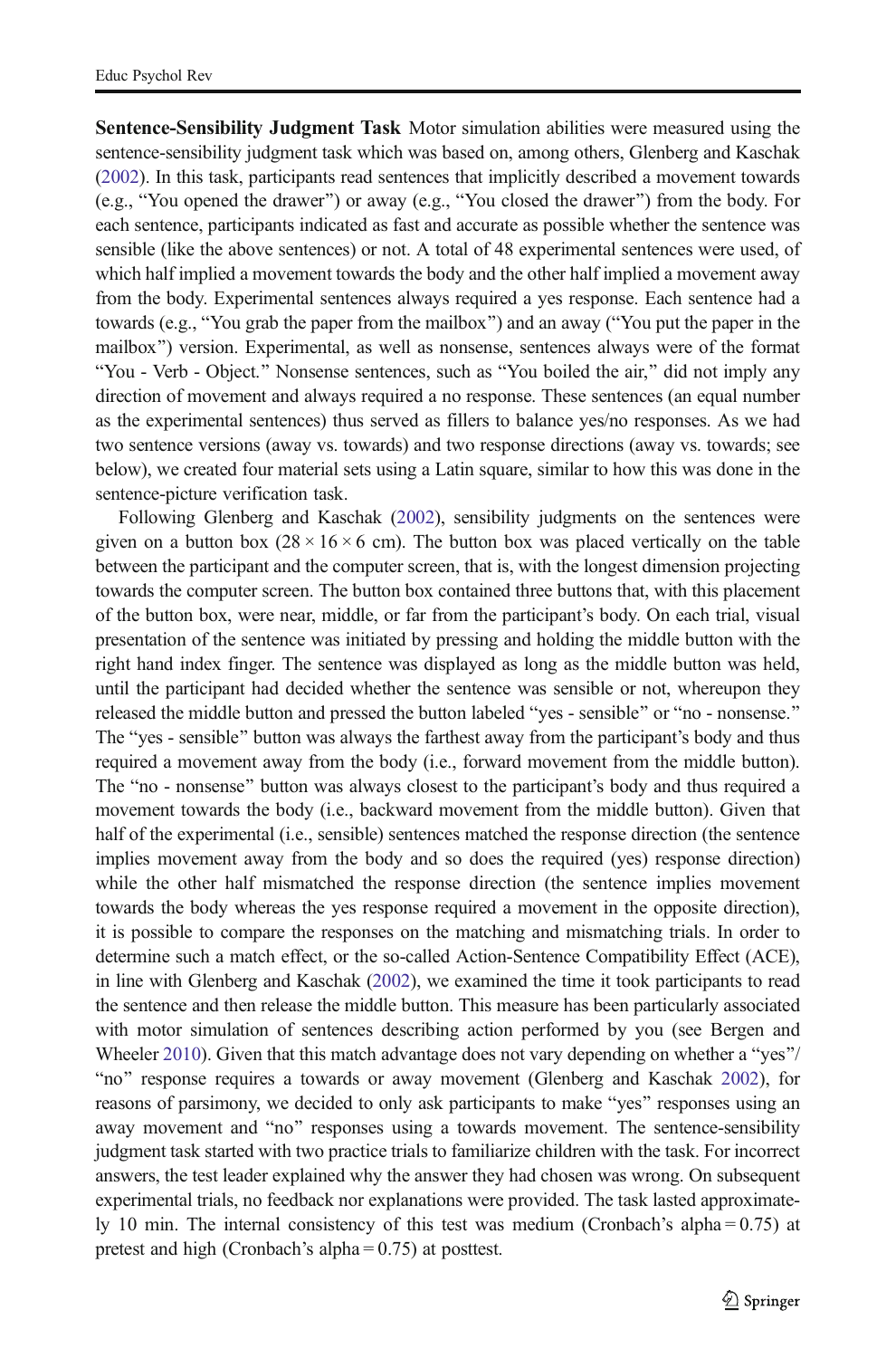Sentence-Sensibility Judgment Task Motor simulation abilities were measured using the sentence-sensibility judgment task which was based on, among others, Glenberg and Kaschak ([2002](#page-18-0)). In this task, participants read sentences that implicitly described a movement towards  $(e.g., "You opened the drawer")$  or away  $(e.g., "You closed the drawer")$  from the body. For each sentence, participants indicated as fast and accurate as possible whether the sentence was sensible (like the above sentences) or not. A total of 48 experimental sentences were used, of which half implied a movement towards the body and the other half implied a movement away from the body. Experimental sentences always required a yes response. Each sentence had a towards (e.g., "You grab the paper from the mailbox") and an away ("You put the paper in the mailbox^) version. Experimental, as well as nonsense, sentences always were of the format "You - Verb - Object." Nonsense sentences, such as "You boiled the air," did not imply any direction of movement and always required a no response. These sentences (an equal number as the experimental sentences) thus served as fillers to balance yes/no responses. As we had two sentence versions (away vs. towards) and two response directions (away vs. towards; see below), we created four material sets using a Latin square, similar to how this was done in the sentence-picture verification task.

Following Glenberg and Kaschak ([2002](#page-18-0)), sensibility judgments on the sentences were given on a button box  $(28 \times 16 \times 6$  cm). The button box was placed vertically on the table between the participant and the computer screen, that is, with the longest dimension projecting towards the computer screen. The button box contained three buttons that, with this placement of the button box, were near, middle, or far from the participant's body. On each trial, visual presentation of the sentence was initiated by pressing and holding the middle button with the right hand index finger. The sentence was displayed as long as the middle button was held, until the participant had decided whether the sentence was sensible or not, whereupon they released the middle button and pressed the button labeled "yes - sensible" or "no - nonsense." The "yes - sensible" button was always the farthest away from the participant's body and thus required a movement away from the body (i.e., forward movement from the middle button). The "no - nonsense" button was always closest to the participant's body and thus required a movement towards the body (i.e., backward movement from the middle button). Given that half of the experimental (i.e., sensible) sentences matched the response direction (the sentence implies movement away from the body and so does the required (yes) response direction) while the other half mismatched the response direction (the sentence implies movement towards the body whereas the yes response required a movement in the opposite direction), it is possible to compare the responses on the matching and mismatching trials. In order to determine such a match effect, or the so-called Action-Sentence Compatibility Effect (ACE), in line with Glenberg and Kaschak ([2002](#page-18-0)), we examined the time it took participants to read the sentence and then release the middle button. This measure has been particularly associated with motor simulation of sentences describing action performed by you (see Bergen and Wheeler [2010\)](#page-18-0). Given that this match advantage does not vary depending on whether a "yes"/ $\ell$ "no" response requires a towards or away movement (Glenberg and Kaschak [2002](#page-18-0)), for reasons of parsimony, we decided to only ask participants to make "yes" responses using an away movement and "no" responses using a towards movement. The sentence-sensibility judgment task started with two practice trials to familiarize children with the task. For incorrect answers, the test leader explained why the answer they had chosen was wrong. On subsequent experimental trials, no feedback nor explanations were provided. The task lasted approximately 10 min. The internal consistency of this test was medium (Cronbach's alpha = 0.75) at pretest and high (Cronbach's alpha  $= 0.75$ ) at posttest.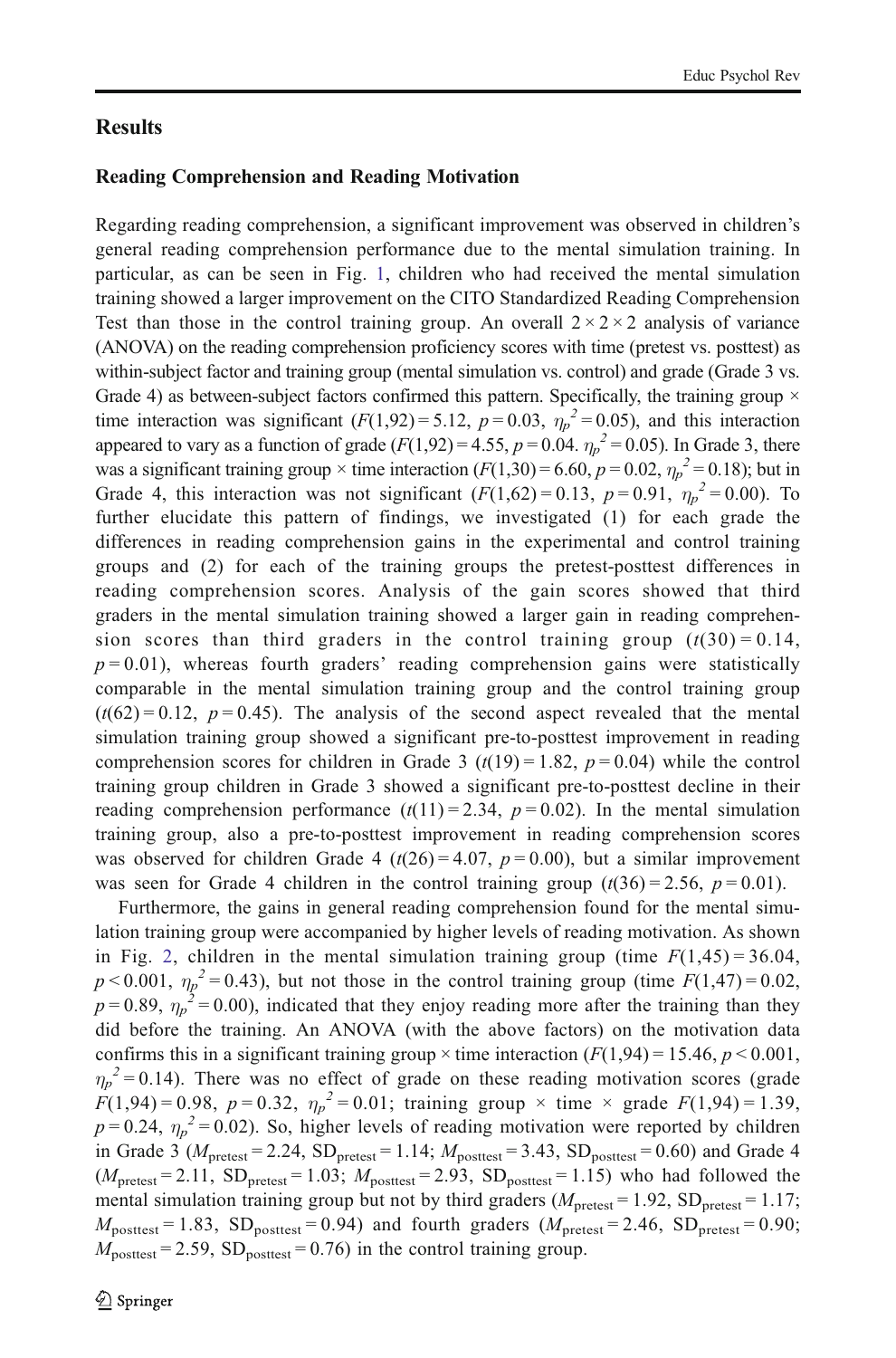# **Results**

#### Reading Comprehension and Reading Motivation

Regarding reading comprehension, a significant improvement was observed in children's general reading comprehension performance due to the mental simulation training. In particular, as can be seen in Fig. [1](#page-12-0), children who had received the mental simulation training showed a larger improvement on the CITO Standardized Reading Comprehension Test than those in the control training group. An overall  $2 \times 2 \times 2$  analysis of variance (ANOVA) on the reading comprehension proficiency scores with time (pretest vs. posttest) as within-subject factor and training group (mental simulation vs. control) and grade (Grade 3 vs. Grade 4) as between-subject factors confirmed this pattern. Specifically, the training group  $\times$ time interaction was significant  $(F(1,92) = 5.12, p = 0.03, \eta_p^2 = 0.05)$ , and this interaction appeared to vary as a function of grade  $(F(1,92) = 4.55, p = 0.04, \eta_p^2 = 0.05)$ . In Grade 3, there was a significant training group  $\times$  time interaction ( $F(1,30) = 6.60$ ,  $p = 0.02$ ,  $\eta_p^2 = 0.18$ ); but in Grade 4, this interaction was not significant  $(F(1,62) = 0.13, p = 0.91, \eta_p^2 = 0.00)$ . To further elucidate this pattern of findings, we investigated (1) for each grade the differences in reading comprehension gains in the experimental and control training groups and (2) for each of the training groups the pretest-posttest differences in reading comprehension scores. Analysis of the gain scores showed that third graders in the mental simulation training showed a larger gain in reading comprehension scores than third graders in the control training group  $(t(30) = 0.14$ ,  $p = 0.01$ ), whereas fourth graders' reading comprehension gains were statistically comparable in the mental simulation training group and the control training group  $(t(62)=0.12, p=0.45)$ . The analysis of the second aspect revealed that the mental simulation training group showed a significant pre-to-posttest improvement in reading comprehension scores for children in Grade 3 ( $t(19) = 1.82$ ,  $p = 0.04$ ) while the control training group children in Grade 3 showed a significant pre-to-posttest decline in their reading comprehension performance  $(t(11) = 2.34, p = 0.02)$ . In the mental simulation training group, also a pre-to-posttest improvement in reading comprehension scores was observed for children Grade 4 ( $t(26) = 4.07$ ,  $p = 0.00$ ), but a similar improvement was seen for Grade 4 children in the control training group  $(t(36) = 2.56, p = 0.01)$ .

Furthermore, the gains in general reading comprehension found for the mental simulation training group were accompanied by higher levels of reading motivation. As shown in Fig. [2,](#page-12-0) children in the mental simulation training group (time  $F(1,45) = 36.04$ ,  $p < 0.001$ ,  $\eta_p^2 = 0.43$ ), but not those in the control training group (time  $F(1,47) = 0.02$ ,  $p = 0.89$ ,  $\eta_p^2 = 0.00$ ), indicated that they enjoy reading more after the training than they did before the training. An ANOVA (with the above factors) on the motivation data confirms this in a significant training group  $\times$  time interaction (F(1,94) = 15.46, p < 0.001,  $\eta_p^2$  = 0.14). There was no effect of grade on these reading motivation scores (grade  $F(1,94) = 0.98$ ,  $p = 0.32$ ,  $\eta_p^2 = 0.01$ ; training group  $\times$  time  $\times$  grade  $F(1,94) = 1.39$ ,  $p = 0.24$ ,  $\eta_p^2 = 0.02$ ). So, higher levels of reading motivation were reported by children in Grade 3 ( $M_{\text{pretest}} = 2.24$ ,  $SD_{\text{pretest}} = 1.14$ ;  $M_{\text{posttest}} = 3.43$ ,  $SD_{\text{posttest}} = 0.60$ ) and Grade 4  $(M<sub>pretest</sub> = 2.11, SD<sub>pretest</sub> = 1.03; M<sub>posttest</sub> = 2.93, SD<sub>posttest</sub> = 1.15)$  who had followed the mental simulation training group but not by third graders ( $M_{\text{pretest}} = 1.92$ , SD<sub>pretest</sub> = 1.17;  $M_{\text{posttest}} = 1.83$ ,  $SD_{\text{posttest}} = 0.94$ ) and fourth graders  $(M_{\text{pretest}} = 2.46, SD_{\text{pretest}} = 0.90;$  $M_{\text{posttest}} = 2.59$ ,  $SD_{\text{posttest}} = 0.76$  in the control training group.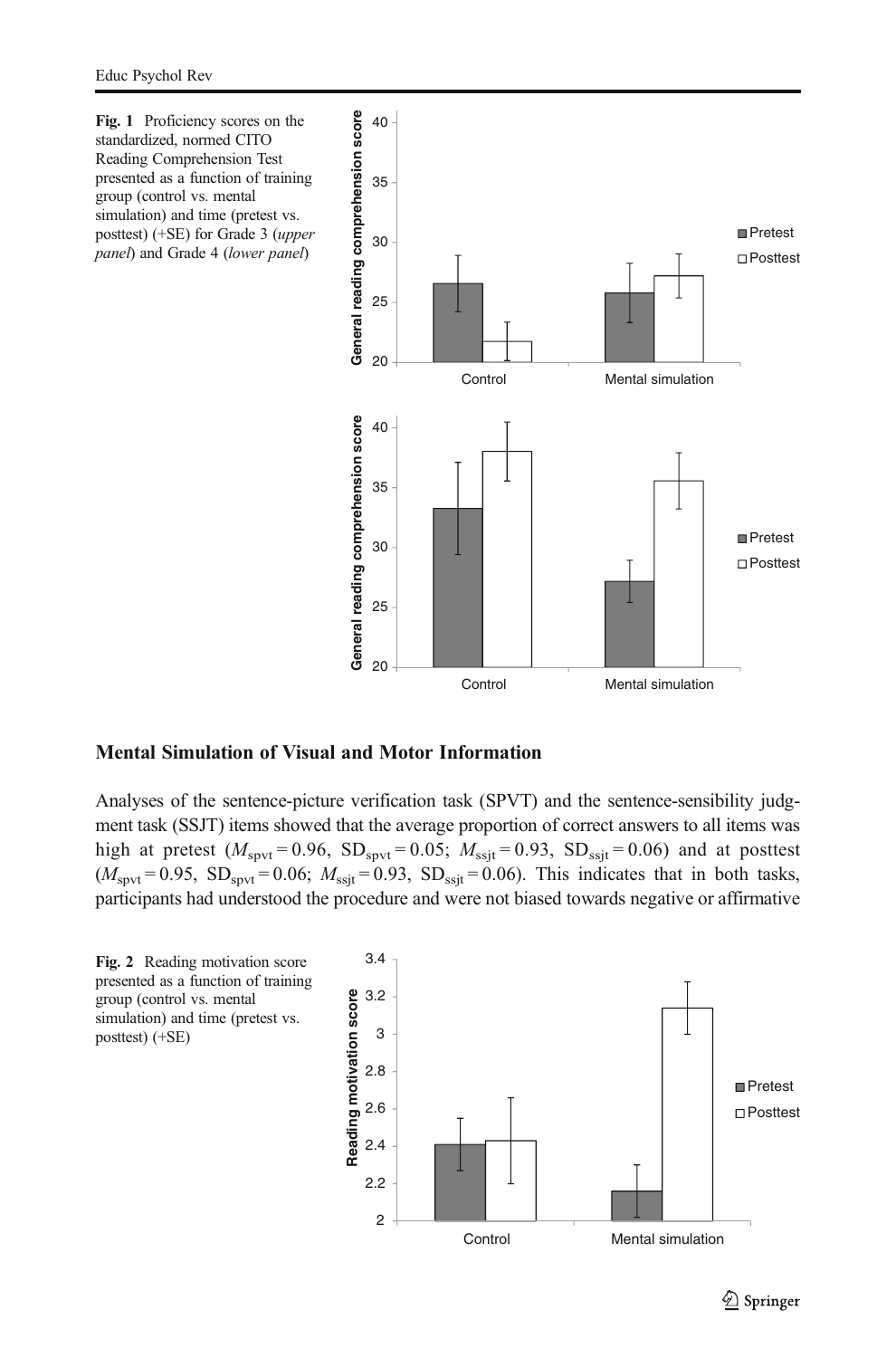<span id="page-12-0"></span>

# Mental Simulation of Visual and Motor Information

Analyses of the sentence-picture verification task (SPVT) and the sentence-sensibility judgment task (SSJT) items showed that the average proportion of correct answers to all items was high at pretest  $(M<sub>sput</sub> = 0.96, SD<sub>sput</sub> = 0.05; M<sub>ssit</sub> = 0.93, SD<sub>ssit</sub> = 0.06)$  and at posttest  $(M<sub>sput</sub> = 0.95, SD<sub>sput</sub> = 0.06; M<sub>ssit</sub> = 0.93, SD<sub>ssit</sub> = 0.06).$  This indicates that in both tasks, participants had understood the procedure and were not biased towards negative or affirmative

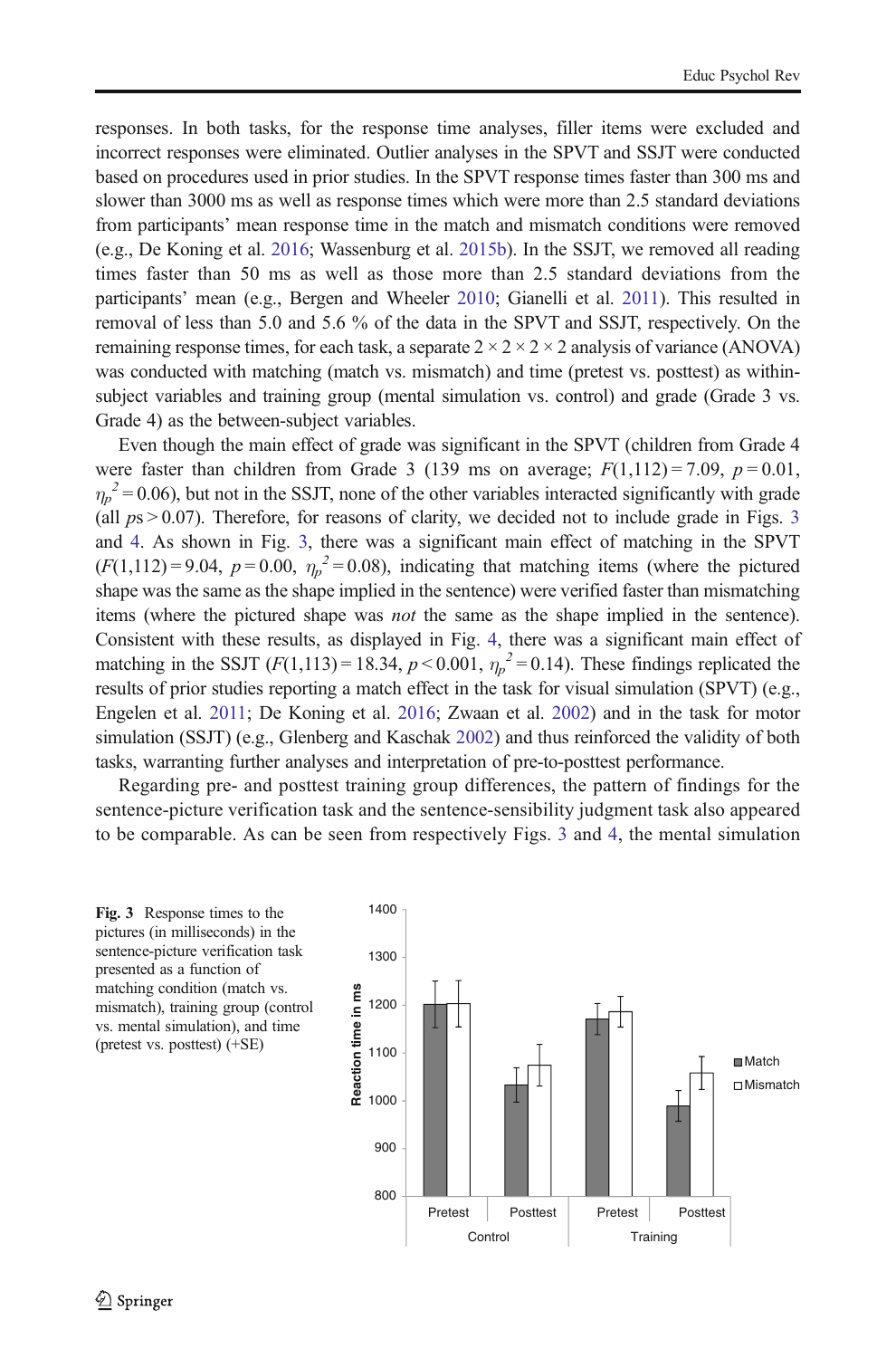<span id="page-13-0"></span>responses. In both tasks, for the response time analyses, filler items were excluded and incorrect responses were eliminated. Outlier analyses in the SPVT and SSJT were conducted based on procedures used in prior studies. In the SPVT response times faster than 300 ms and slower than 3000 ms as well as response times which were more than 2.5 standard deviations from participants' mean response time in the match and mismatch conditions were removed (e.g., De Koning et al. [2016;](#page-18-0) Wassenburg et al. [2015b](#page-19-0)). In the SSJT, we removed all reading times faster than 50 ms as well as those more than 2.5 standard deviations from the participants' mean (e.g., Bergen and Wheeler [2010;](#page-18-0) Gianelli et al. [2011\)](#page-18-0). This resulted in removal of less than 5.0 and 5.6 % of the data in the SPVT and SSJT, respectively. On the remaining response times, for each task, a separate  $2 \times 2 \times 2 \times 2$  analysis of variance (ANOVA) was conducted with matching (match vs. mismatch) and time (pretest vs. posttest) as withinsubject variables and training group (mental simulation vs. control) and grade (Grade 3 vs. Grade 4) as the between-subject variables.

Even though the main effect of grade was significant in the SPVT (children from Grade 4 were faster than children from Grade 3 (139 ms on average;  $F(1,112) = 7.09$ ,  $p = 0.01$ ,  $\eta_p^2$  = 0.06), but not in the SSJT, none of the other variables interacted significantly with grade (all  $ps > 0.07$ ). Therefore, for reasons of clarity, we decided not to include grade in Figs. 3 and [4.](#page-14-0) As shown in Fig. 3, there was a significant main effect of matching in the SPVT  $(F(1,112)=9.04, p=0.00, \eta_p^2=0.08)$ , indicating that matching items (where the pictured shape was the same as the shape implied in the sentence) were verified faster than mismatching items (where the pictured shape was not the same as the shape implied in the sentence). Consistent with these results, as displayed in Fig. [4,](#page-14-0) there was a significant main effect of matching in the SSJT  $(F(1,113) = 18.34, p < 0.001, \eta_p^2 = 0.14)$ . These findings replicated the results of prior studies reporting a match effect in the task for visual simulation (SPVT) (e.g., Engelen et al. [2011](#page-18-0); De Koning et al. [2016;](#page-18-0) Zwaan et al. [2002](#page-20-0)) and in the task for motor simulation (SSJT) (e.g., Glenberg and Kaschak [2002](#page-18-0)) and thus reinforced the validity of both tasks, warranting further analyses and interpretation of pre-to-posttest performance.

Regarding pre- and posttest training group differences, the pattern of findings for the sentence-picture verification task and the sentence-sensibility judgment task also appeared to be comparable. As can be seen from respectively Figs. 3 and [4](#page-14-0), the mental simulation

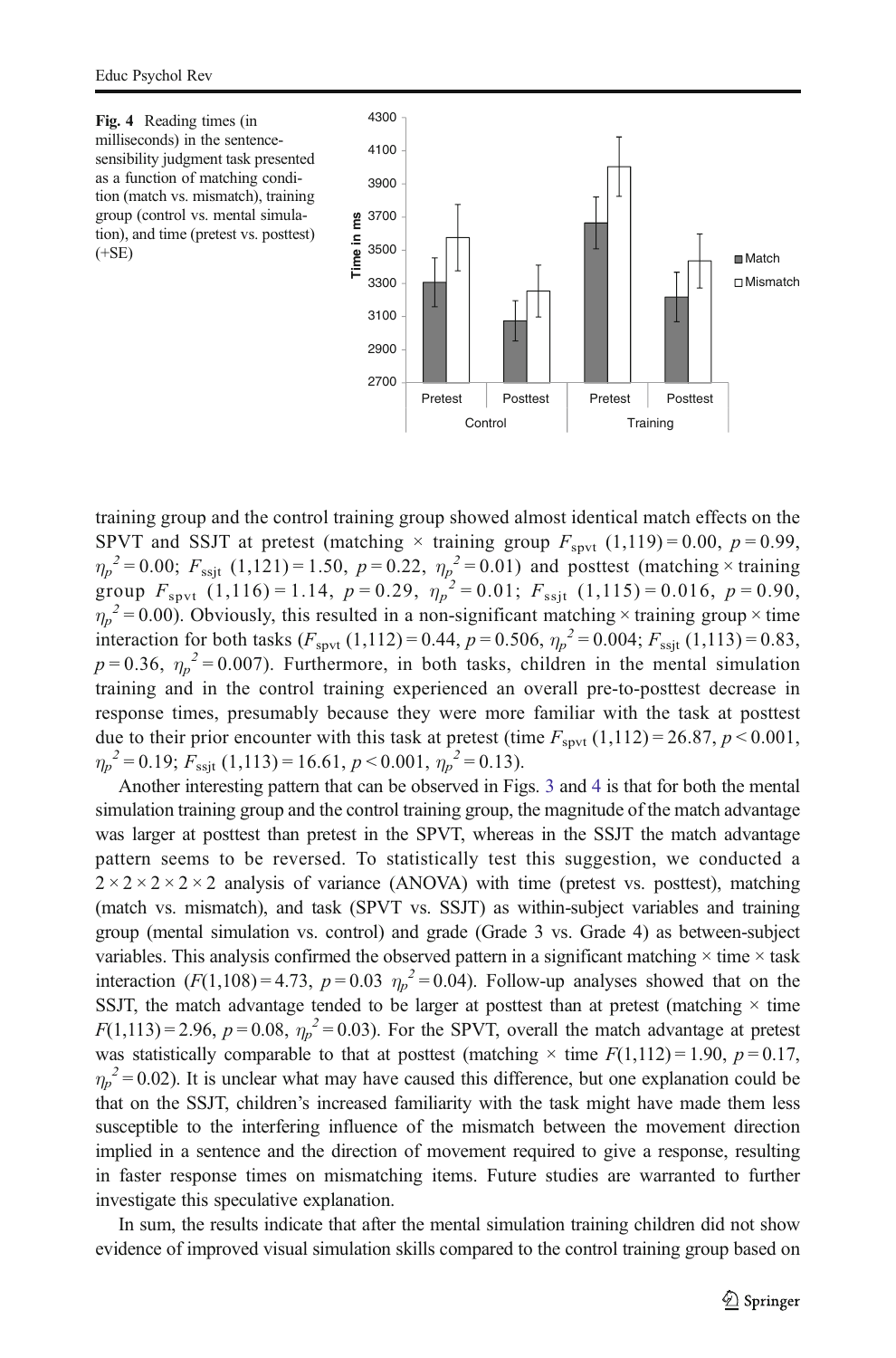<span id="page-14-0"></span>

training group and the control training group showed almost identical match effects on the SPVT and SSJT at pretest (matching  $\times$  training group  $F_{\text{spvt}}$  (1,119) = 0.00, p = 0.99,  $\eta_p^2 = 0.00$ ;  $F_{\text{ssjt}}(1,121) = 1.50$ ,  $p = 0.22$ ,  $\eta_p^2 = 0.01$ ) and posttest (matching  $\times$  training group  $F_{\text{spvt}}$  (1,116) = 1.14,  $p = 0.29$ ,  $\eta_p^2 = 0.01$ ;  $F_{\text{ssjt}}$  (1,115) = 0.016,  $p = 0.90$ ,  $\eta_p^2$  = 0.00). Obviously, this resulted in a non-significant matching  $\times$  training group  $\times$  time interaction for both tasks  $(F_{\text{spvt}}(1,112) = 0.44, p = 0.506, \eta_p^2 = 0.004; F_{\text{ssjt}}(1,113) = 0.83$ ,  $p = 0.36$ ,  $\eta_p^2 = 0.007$ ). Furthermore, in both tasks, children in the mental simulation training and in the control training experienced an overall pre-to-posttest decrease in response times, presumably because they were more familiar with the task at posttest due to their prior encounter with this task at pretest (time  $F_{\text{svvt}}(1,112) = 26.87$ ,  $p < 0.001$ ,  $\eta_p^2$  = 0.19;  $F_{\text{ssjt}}$  (1,113) = 16.61, p < 0.001,  $\eta_p^2$  = 0.13).

Another interesting pattern that can be observed in Figs. [3](#page-13-0) and 4 is that for both the mental simulation training group and the control training group, the magnitude of the match advantage was larger at posttest than pretest in the SPVT, whereas in the SSJT the match advantage pattern seems to be reversed. To statistically test this suggestion, we conducted a  $2 \times 2 \times 2 \times 2$  analysis of variance (ANOVA) with time (pretest vs. posttest), matching (match vs. mismatch), and task (SPVT vs. SSJT) as within-subject variables and training group (mental simulation vs. control) and grade (Grade 3 vs. Grade 4) as between-subject variables. This analysis confirmed the observed pattern in a significant matching  $\times$  time  $\times$  task interaction  $(F(1,108) = 4.73, p = 0.03 \eta_p^2 = 0.04)$ . Follow-up analyses showed that on the SSJT, the match advantage tended to be larger at posttest than at pretest (matching  $\times$  time  $F(1,113) = 2.96$ ,  $p = 0.08$ ,  $\eta_p^2 = 0.03$ ). For the SPVT, overall the match advantage at pretest was statistically comparable to that at posttest (matching  $\times$  time  $F(1,112) = 1.90$ ,  $p = 0.17$ ,  $\eta_p^2$  = 0.02). It is unclear what may have caused this difference, but one explanation could be that on the SSJT, children's increased familiarity with the task might have made them less susceptible to the interfering influence of the mismatch between the movement direction implied in a sentence and the direction of movement required to give a response, resulting in faster response times on mismatching items. Future studies are warranted to further investigate this speculative explanation.

In sum, the results indicate that after the mental simulation training children did not show evidence of improved visual simulation skills compared to the control training group based on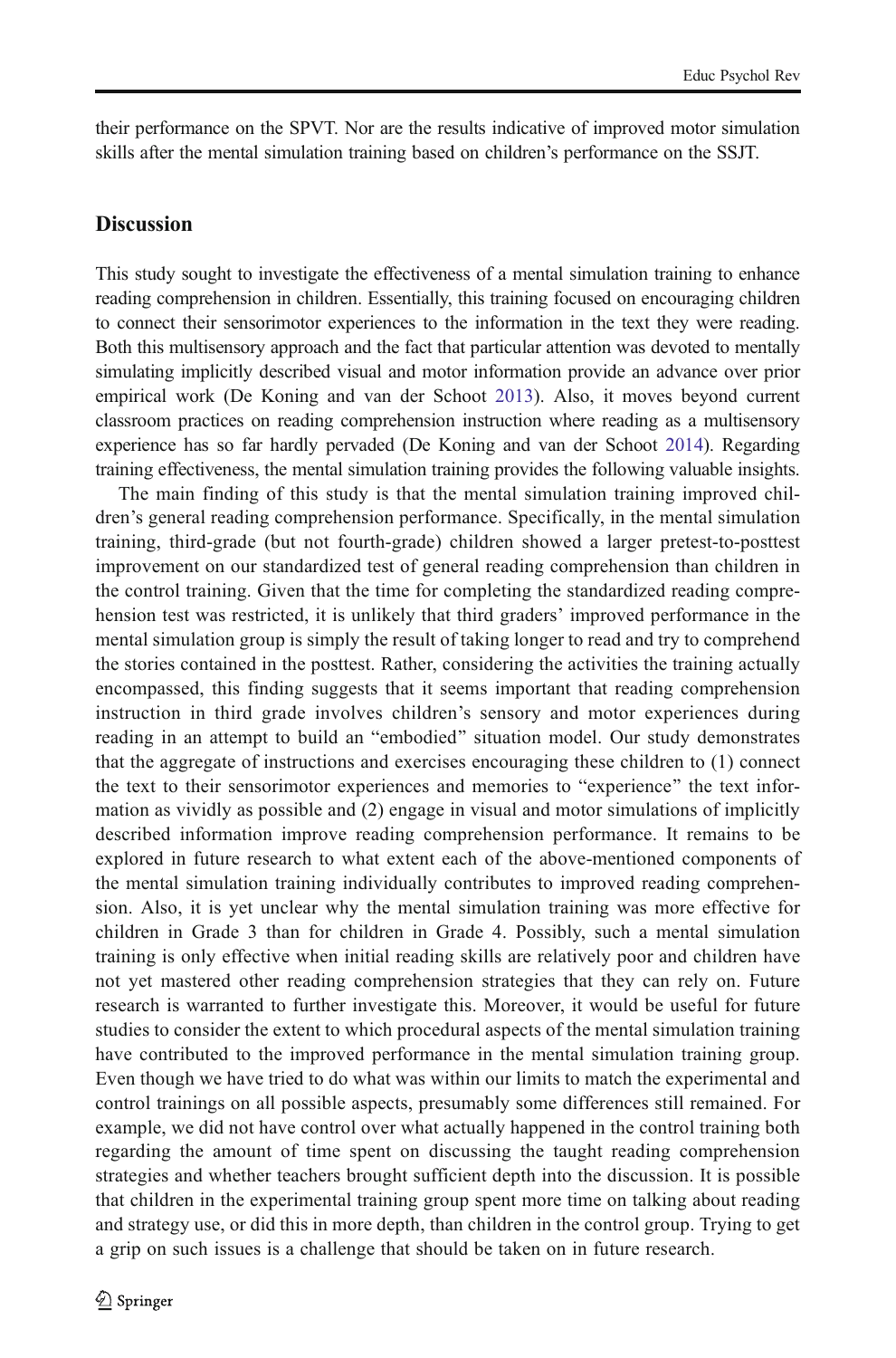their performance on the SPVT. Nor are the results indicative of improved motor simulation skills after the mental simulation training based on children's performance on the SSJT.

#### **Discussion**

This study sought to investigate the effectiveness of a mental simulation training to enhance reading comprehension in children. Essentially, this training focused on encouraging children to connect their sensorimotor experiences to the information in the text they were reading. Both this multisensory approach and the fact that particular attention was devoted to mentally simulating implicitly described visual and motor information provide an advance over prior empirical work (De Koning and van der Schoot [2013\)](#page-18-0). Also, it moves beyond current classroom practices on reading comprehension instruction where reading as a multisensory experience has so far hardly pervaded (De Koning and van der Schoot [2014](#page-18-0)). Regarding training effectiveness, the mental simulation training provides the following valuable insights.

The main finding of this study is that the mental simulation training improved children's general reading comprehension performance. Specifically, in the mental simulation training, third-grade (but not fourth-grade) children showed a larger pretest-to-posttest improvement on our standardized test of general reading comprehension than children in the control training. Given that the time for completing the standardized reading comprehension test was restricted, it is unlikely that third graders' improved performance in the mental simulation group is simply the result of taking longer to read and try to comprehend the stories contained in the posttest. Rather, considering the activities the training actually encompassed, this finding suggests that it seems important that reading comprehension instruction in third grade involves children's sensory and motor experiences during reading in an attempt to build an "embodied" situation model. Our study demonstrates that the aggregate of instructions and exercises encouraging these children to (1) connect the text to their sensorimotor experiences and memories to "experience" the text information as vividly as possible and (2) engage in visual and motor simulations of implicitly described information improve reading comprehension performance. It remains to be explored in future research to what extent each of the above-mentioned components of the mental simulation training individually contributes to improved reading comprehension. Also, it is yet unclear why the mental simulation training was more effective for children in Grade 3 than for children in Grade 4. Possibly, such a mental simulation training is only effective when initial reading skills are relatively poor and children have not yet mastered other reading comprehension strategies that they can rely on. Future research is warranted to further investigate this. Moreover, it would be useful for future studies to consider the extent to which procedural aspects of the mental simulation training have contributed to the improved performance in the mental simulation training group. Even though we have tried to do what was within our limits to match the experimental and control trainings on all possible aspects, presumably some differences still remained. For example, we did not have control over what actually happened in the control training both regarding the amount of time spent on discussing the taught reading comprehension strategies and whether teachers brought sufficient depth into the discussion. It is possible that children in the experimental training group spent more time on talking about reading and strategy use, or did this in more depth, than children in the control group. Trying to get a grip on such issues is a challenge that should be taken on in future research.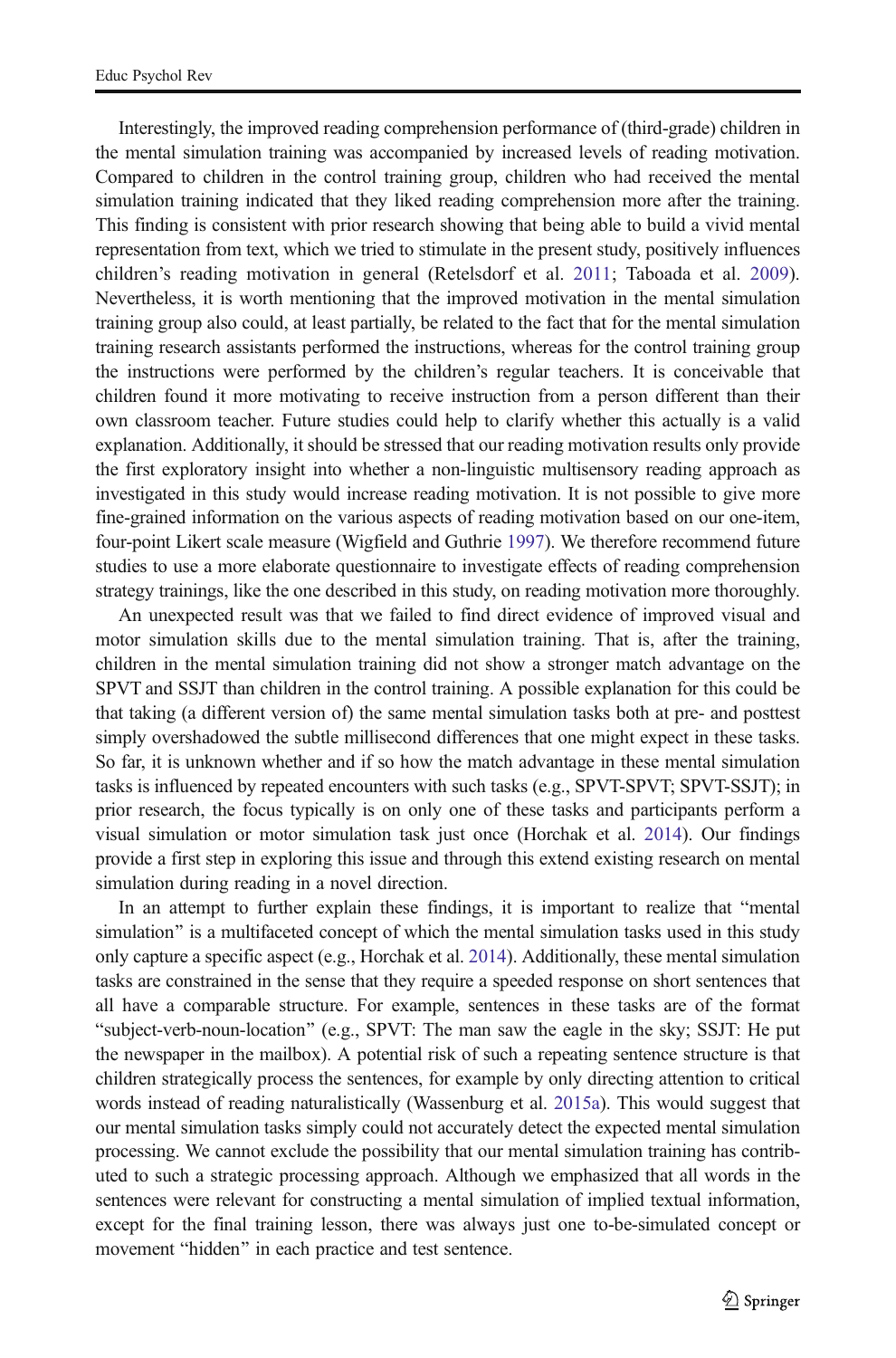Interestingly, the improved reading comprehension performance of (third-grade) children in the mental simulation training was accompanied by increased levels of reading motivation. Compared to children in the control training group, children who had received the mental simulation training indicated that they liked reading comprehension more after the training. This finding is consistent with prior research showing that being able to build a vivid mental representation from text, which we tried to stimulate in the present study, positively influences children's reading motivation in general (Retelsdorf et al. [2011](#page-19-0); Taboada et al. [2009](#page-19-0)). Nevertheless, it is worth mentioning that the improved motivation in the mental simulation training group also could, at least partially, be related to the fact that for the mental simulation training research assistants performed the instructions, whereas for the control training group the instructions were performed by the children's regular teachers. It is conceivable that children found it more motivating to receive instruction from a person different than their own classroom teacher. Future studies could help to clarify whether this actually is a valid explanation. Additionally, it should be stressed that our reading motivation results only provide the first exploratory insight into whether a non-linguistic multisensory reading approach as investigated in this study would increase reading motivation. It is not possible to give more fine-grained information on the various aspects of reading motivation based on our one-item, four-point Likert scale measure (Wigfield and Guthrie [1997](#page-19-0)). We therefore recommend future studies to use a more elaborate questionnaire to investigate effects of reading comprehension strategy trainings, like the one described in this study, on reading motivation more thoroughly.

An unexpected result was that we failed to find direct evidence of improved visual and motor simulation skills due to the mental simulation training. That is, after the training, children in the mental simulation training did not show a stronger match advantage on the SPVT and SSJT than children in the control training. A possible explanation for this could be that taking (a different version of) the same mental simulation tasks both at pre- and posttest simply overshadowed the subtle millisecond differences that one might expect in these tasks. So far, it is unknown whether and if so how the match advantage in these mental simulation tasks is influenced by repeated encounters with such tasks (e.g., SPVT-SPVT; SPVT-SSJT); in prior research, the focus typically is on only one of these tasks and participants perform a visual simulation or motor simulation task just once (Horchak et al. [2014\)](#page-18-0). Our findings provide a first step in exploring this issue and through this extend existing research on mental simulation during reading in a novel direction.

In an attempt to further explain these findings, it is important to realize that "mental simulation" is a multifaceted concept of which the mental simulation tasks used in this study only capture a specific aspect (e.g., Horchak et al. [2014\)](#page-18-0). Additionally, these mental simulation tasks are constrained in the sense that they require a speeded response on short sentences that all have a comparable structure. For example, sentences in these tasks are of the format "subject-verb-noun-location" (e.g., SPVT: The man saw the eagle in the sky; SSJT: He put the newspaper in the mailbox). A potential risk of such a repeating sentence structure is that children strategically process the sentences, for example by only directing attention to critical words instead of reading naturalistically (Wassenburg et al. [2015a](#page-19-0)). This would suggest that our mental simulation tasks simply could not accurately detect the expected mental simulation processing. We cannot exclude the possibility that our mental simulation training has contributed to such a strategic processing approach. Although we emphasized that all words in the sentences were relevant for constructing a mental simulation of implied textual information, except for the final training lesson, there was always just one to-be-simulated concept or movement "hidden" in each practice and test sentence.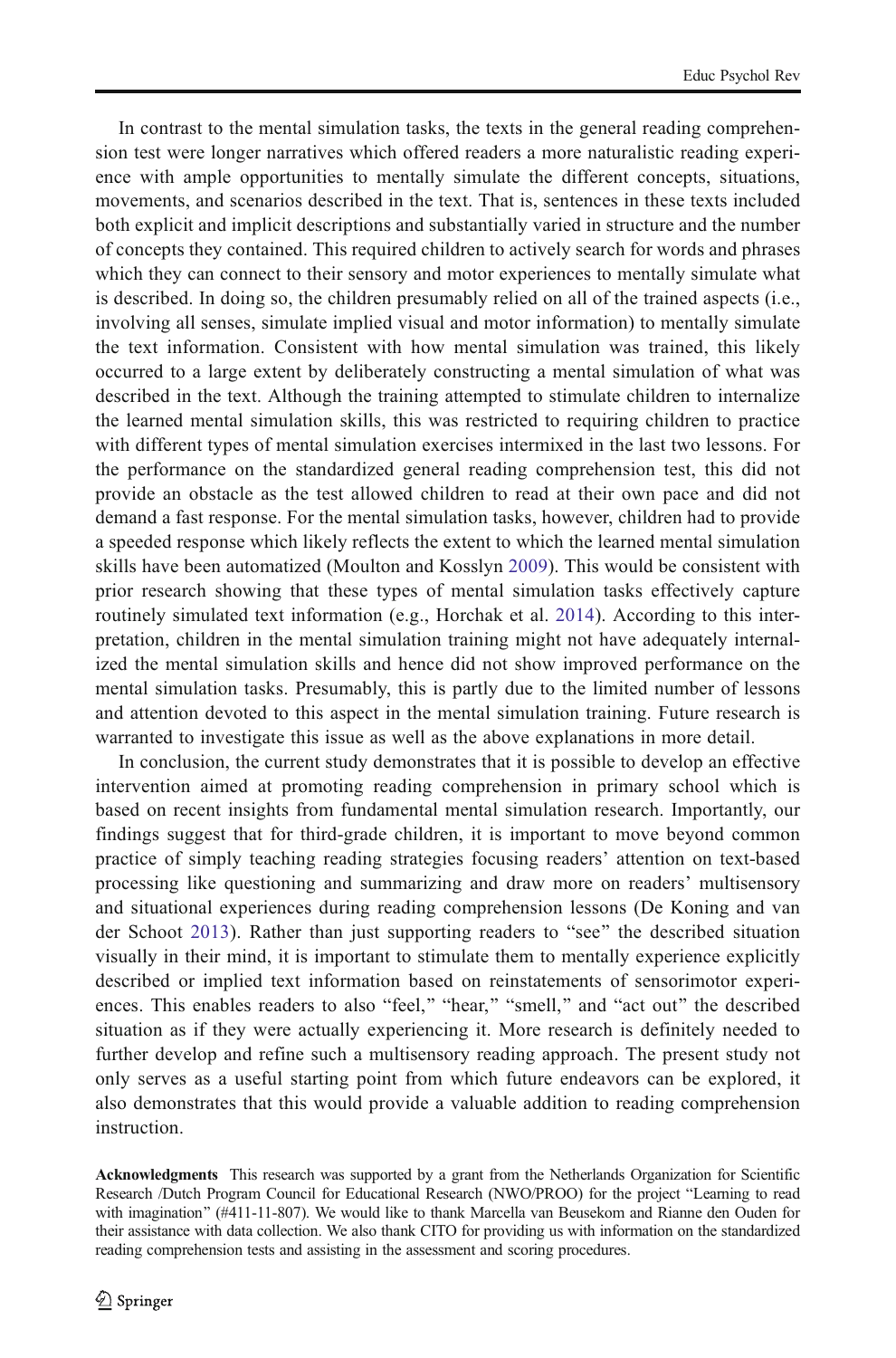In contrast to the mental simulation tasks, the texts in the general reading comprehension test were longer narratives which offered readers a more naturalistic reading experience with ample opportunities to mentally simulate the different concepts, situations, movements, and scenarios described in the text. That is, sentences in these texts included both explicit and implicit descriptions and substantially varied in structure and the number of concepts they contained. This required children to actively search for words and phrases which they can connect to their sensory and motor experiences to mentally simulate what is described. In doing so, the children presumably relied on all of the trained aspects (i.e., involving all senses, simulate implied visual and motor information) to mentally simulate the text information. Consistent with how mental simulation was trained, this likely occurred to a large extent by deliberately constructing a mental simulation of what was described in the text. Although the training attempted to stimulate children to internalize the learned mental simulation skills, this was restricted to requiring children to practice with different types of mental simulation exercises intermixed in the last two lessons. For the performance on the standardized general reading comprehension test, this did not provide an obstacle as the test allowed children to read at their own pace and did not demand a fast response. For the mental simulation tasks, however, children had to provide a speeded response which likely reflects the extent to which the learned mental simulation skills have been automatized (Moulton and Kosslyn [2009\)](#page-19-0). This would be consistent with prior research showing that these types of mental simulation tasks effectively capture routinely simulated text information (e.g., Horchak et al. [2014\)](#page-18-0). According to this interpretation, children in the mental simulation training might not have adequately internalized the mental simulation skills and hence did not show improved performance on the mental simulation tasks. Presumably, this is partly due to the limited number of lessons and attention devoted to this aspect in the mental simulation training. Future research is warranted to investigate this issue as well as the above explanations in more detail.

In conclusion, the current study demonstrates that it is possible to develop an effective intervention aimed at promoting reading comprehension in primary school which is based on recent insights from fundamental mental simulation research. Importantly, our findings suggest that for third-grade children, it is important to move beyond common practice of simply teaching reading strategies focusing readers' attention on text-based processing like questioning and summarizing and draw more on readers' multisensory and situational experiences during reading comprehension lessons (De Koning and van der Schoot [2013\)](#page-18-0). Rather than just supporting readers to "see" the described situation visually in their mind, it is important to stimulate them to mentally experience explicitly described or implied text information based on reinstatements of sensorimotor experiences. This enables readers to also "feel," "hear," "smell," and "act out" the described situation as if they were actually experiencing it. More research is definitely needed to further develop and refine such a multisensory reading approach. The present study not only serves as a useful starting point from which future endeavors can be explored, it also demonstrates that this would provide a valuable addition to reading comprehension instruction.

Acknowledgments This research was supported by a grant from the Netherlands Organization for Scientific Research /Dutch Program Council for Educational Research (NWO/PROO) for the project "Learning to read with imagination" (#411-11-807). We would like to thank Marcella van Beusekom and Rianne den Ouden for their assistance with data collection. We also thank CITO for providing us with information on the standardized reading comprehension tests and assisting in the assessment and scoring procedures.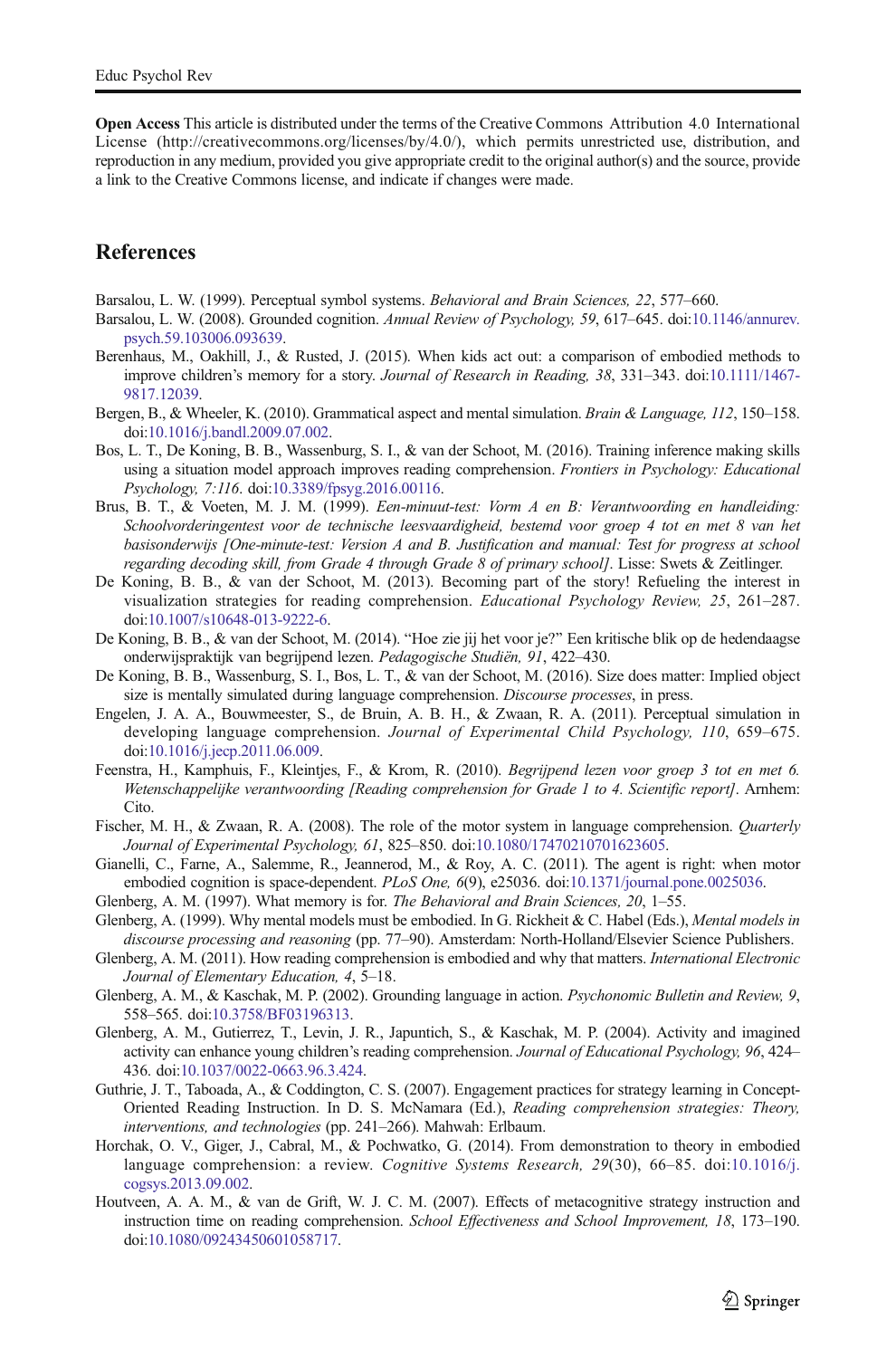<span id="page-18-0"></span>Open Access This article is distributed under the terms of the Creative Commons Attribution 4.0 International License (http://creativecommons.org/licenses/by/4.0/), which permits unrestricted use, distribution, and reproduction in any medium, provided you give appropriate credit to the original author(s) and the source, provide a link to the Creative Commons license, and indicate if changes were made.

# **References**

Barsalou, L. W. (1999). Perceptual symbol systems. Behavioral and Brain Sciences, 22, 577–660.

- Barsalou, L. W. (2008). Grounded cognition. Annual Review of Psychology, 59, 617–645. doi[:10.1146/annurev.](http://dx.doi.org/10.1146/annurev.psych.59.103006.093639) [psych.59.103006.093639.](http://dx.doi.org/10.1146/annurev.psych.59.103006.093639)
- Berenhaus, M., Oakhill, J., & Rusted, J. (2015). When kids act out: a comparison of embodied methods to improve children's memory for a story. Journal of Research in Reading, 38, 331–343. doi[:10.1111/1467-](http://dx.doi.org/10.1111/1467-9817.12039) [9817.12039](http://dx.doi.org/10.1111/1467-9817.12039).
- Bergen, B., & Wheeler, K. (2010). Grammatical aspect and mental simulation. Brain & Language, 112, 150–158. doi:[10.1016/j.bandl.2009.07.002](http://dx.doi.org/10.1016/j.bandl.2009.07.002).
- Bos, L. T., De Koning, B. B., Wassenburg, S. I., & van der Schoot, M. (2016). Training inference making skills using a situation model approach improves reading comprehension. Frontiers in Psychology: Educational Psychology, 7:116. doi[:10.3389/fpsyg.2016.00116](http://dx.doi.org/10.3389/fpsyg.2016.00116).
- Brus, B. T., & Voeten, M. J. M. (1999). Een-minuut-test: Vorm A en B: Verantwoording en handleiding: Schoolvorderingentest voor de technische leesvaardigheid, bestemd voor groep 4 tot en met 8 van het basisonderwijs [One-minute-test: Version A and B. Justification and manual: Test for progress at school regarding decoding skill, from Grade 4 through Grade 8 of primary school]. Lisse: Swets & Zeitlinger.
- De Koning, B. B., & van der Schoot, M. (2013). Becoming part of the story! Refueling the interest in visualization strategies for reading comprehension. Educational Psychology Review, 25, 261–287. doi:[10.1007/s10648-013-9222-6](http://dx.doi.org/10.1007/s10648-013-9222-6).
- De Koning, B. B., & van der Schoot, M. (2014). "Hoe zie jij het voor je?" Een kritische blik op de hedendaagse onderwijspraktijk van begrijpend lezen. Pedagogische Studiën, 91, 422–430.
- De Koning, B. B., Wassenburg, S. I., Bos, L. T., & van der Schoot, M. (2016). Size does matter: Implied object size is mentally simulated during language comprehension. Discourse processes, in press.
- Engelen, J. A. A., Bouwmeester, S., de Bruin, A. B. H., & Zwaan, R. A. (2011). Perceptual simulation in developing language comprehension. Journal of Experimental Child Psychology, 110, 659-675. doi:[10.1016/j.jecp.2011.06.009.](http://dx.doi.org/10.1016/j.jecp.2011.06.009)
- Feenstra, H., Kamphuis, F., Kleintjes, F., & Krom, R. (2010). Begrijpend lezen voor groep 3 tot en met 6. Wetenschappelijke verantwoording [Reading comprehension for Grade 1 to 4. Scientific report]. Arnhem: Cito.
- Fischer, M. H., & Zwaan, R. A. (2008). The role of the motor system in language comprehension. Quarterly Journal of Experimental Psychology, 61, 825–850. doi[:10.1080/17470210701623605](http://dx.doi.org/10.1080/17470210701623605).
- Gianelli, C., Farne, A., Salemme, R., Jeannerod, M., & Roy, A. C. (2011). The agent is right: when motor embodied cognition is space-dependent. PLoS One, 6(9), e25036. doi:[10.1371/journal.pone.0025036](http://dx.doi.org/10.1371/journal.pone.0025036).
- Glenberg, A. M. (1997). What memory is for. The Behavioral and Brain Sciences, 20, 1-55.
- Glenberg, A. (1999). Why mental models must be embodied. In G. Rickheit & C. Habel (Eds.), Mental models in discourse processing and reasoning (pp. 77–90). Amsterdam: North-Holland/Elsevier Science Publishers.
- Glenberg, A. M. (2011). How reading comprehension is embodied and why that matters. *International Electronic* Journal of Elementary Education, 4, 5–18.
- Glenberg, A. M., & Kaschak, M. P. (2002). Grounding language in action. Psychonomic Bulletin and Review, 9, 558–565. doi[:10.3758/BF03196313.](http://dx.doi.org/10.3758/BF03196313)
- Glenberg, A. M., Gutierrez, T., Levin, J. R., Japuntich, S., & Kaschak, M. P. (2004). Activity and imagined activity can enhance young children's reading comprehension. Journal of Educational Psychology, 96, 424– 436. doi[:10.1037/0022-0663.96.3.424](http://dx.doi.org/10.1037/0022-0663.96.3.424).
- Guthrie, J. T., Taboada, A., & Coddington, C. S. (2007). Engagement practices for strategy learning in Concept-Oriented Reading Instruction. In D. S. McNamara (Ed.), Reading comprehension strategies: Theory, interventions, and technologies (pp. 241–266). Mahwah: Erlbaum.
- Horchak, O. V., Giger, J., Cabral, M., & Pochwatko, G. (2014). From demonstration to theory in embodied language comprehension: a review. Cognitive Systems Research, 29(30), 66–85. doi:[10.1016/j.](http://dx.doi.org/10.1016/j.cogsys.2013.09.002) [cogsys.2013.09.002](http://dx.doi.org/10.1016/j.cogsys.2013.09.002).
- Houtveen, A. A. M., & van de Grift, W. J. C. M. (2007). Effects of metacognitive strategy instruction and instruction time on reading comprehension. School Effectiveness and School Improvement, 18, 173–190. doi:[10.1080/09243450601058717.](http://dx.doi.org/10.1080/09243450601058717)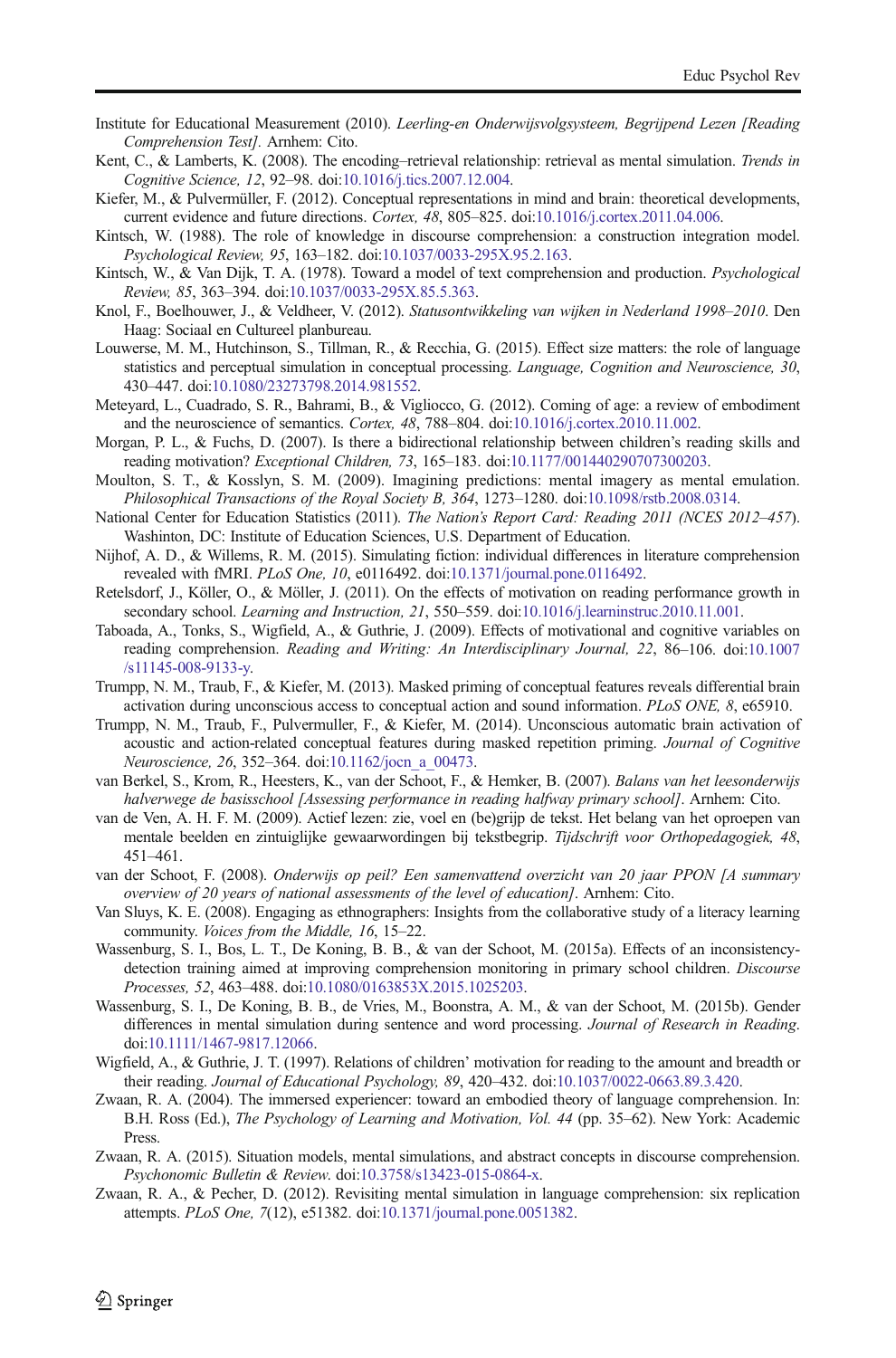- <span id="page-19-0"></span>Institute for Educational Measurement (2010). Leerling-en Onderwijsvolgsysteem, Begrijpend Lezen [Reading Comprehension Test]. Arnhem: Cito.
- Kent, C., & Lamberts, K. (2008). The encoding-retrieval relationship: retrieval as mental simulation. Trends in Cognitive Science, 12, 92–98. doi[:10.1016/j.tics.2007.12.004](http://dx.doi.org/10.1016/j.tics.2007.12.004).
- Kiefer, M., & Pulvermüller, F. (2012). Conceptual representations in mind and brain: theoretical developments, current evidence and future directions. Cortex, 48, 805–825. doi:[10.1016/j.cortex.2011.04.006](http://dx.doi.org/10.1016/j.cortex.2011.04.006).
- Kintsch, W. (1988). The role of knowledge in discourse comprehension: a construction integration model. Psychological Review, 95, 163–182. doi[:10.1037/0033-295X.95.2.163.](http://dx.doi.org/10.1037/0033-295X.95.2.163)
- Kintsch, W., & Van Dijk, T. A. (1978). Toward a model of text comprehension and production. Psychological Review, 85, 363–394. doi:[10.1037/0033-295X.85.5.363](http://dx.doi.org/10.1037/0033-295X.85.5.363).
- Knol, F., Boelhouwer, J., & Veldheer, V. (2012). Statusontwikkeling van wijken in Nederland 1998–2010. Den Haag: Sociaal en Cultureel planbureau.
- Louwerse, M. M., Hutchinson, S., Tillman, R., & Recchia, G. (2015). Effect size matters: the role of language statistics and perceptual simulation in conceptual processing. *Language, Cognition and Neuroscience*, 30, 430–447. doi[:10.1080/23273798.2014.981552.](http://dx.doi.org/10.1080/23273798.2014.981552)
- Meteyard, L., Cuadrado, S. R., Bahrami, B., & Vigliocco, G. (2012). Coming of age: a review of embodiment and the neuroscience of semantics. Cortex, 48, 788–804. doi:[10.1016/j.cortex.2010.11.002](http://dx.doi.org/10.1016/j.cortex.2010.11.002).
- Morgan, P. L., & Fuchs, D. (2007). Is there a bidirectional relationship between children's reading skills and reading motivation? Exceptional Children, 73, 165–183. doi[:10.1177/001440290707300203](http://dx.doi.org/10.1177/001440290707300203).
- Moulton, S. T., & Kosslyn, S. M. (2009). Imagining predictions: mental imagery as mental emulation. Philosophical Transactions of the Royal Society B, 364, 1273–1280. doi[:10.1098/rstb.2008.0314](http://dx.doi.org/10.1098/rstb.2008.0314).
- National Center for Education Statistics (2011). The Nation's Report Card: Reading 2011 (NCES 2012-457). Washinton, DC: Institute of Education Sciences, U.S. Department of Education.
- Nijhof, A. D., & Willems, R. M. (2015). Simulating fiction: individual differences in literature comprehension revealed with fMRI. PLoS One, 10, e0116492. doi[:10.1371/journal.pone.0116492](http://dx.doi.org/10.1371/journal.pone.0116492).
- Retelsdorf, J., Köller, O., & Möller, J. (2011). On the effects of motivation on reading performance growth in secondary school. Learning and Instruction, 21, 550–559. doi[:10.1016/j.learninstruc.2010.11.001](http://dx.doi.org/10.1016/j.learninstruc.2010.11.001).
- Taboada, A., Tonks, S., Wigfield, A., & Guthrie, J. (2009). Effects of motivational and cognitive variables on reading comprehension. Reading and Writing: An Interdisciplinary Journal, 22, 86–106. doi[:10.1007](http://dx.doi.org/10.1007/s11145-008-9133-y) [/s11145-008-9133-y.](http://dx.doi.org/10.1007/s11145-008-9133-y)
- Trumpp, N. M., Traub, F., & Kiefer, M. (2013). Masked priming of conceptual features reveals differential brain activation during unconscious access to conceptual action and sound information. PLoS ONE, 8, e65910.
- Trumpp, N. M., Traub, F., Pulvermuller, F., & Kiefer, M. (2014). Unconscious automatic brain activation of acoustic and action-related conceptual features during masked repetition priming. Journal of Cognitive Neuroscience, 26, 352–364. doi:[10.1162/jocn\\_a\\_00473](http://dx.doi.org/10.1162/jocn_a_00473).
- van Berkel, S., Krom, R., Heesters, K., van der Schoot, F., & Hemker, B. (2007). Balans van het leesonderwijs halverwege de basisschool [Assessing performance in reading halfway primary school]. Arnhem: Cito.
- van de Ven, A. H. F. M. (2009). Actief lezen: zie, voel en (be)grijp de tekst. Het belang van het oproepen van mentale beelden en zintuiglijke gewaarwordingen bij tekstbegrip. Tijdschrift voor Orthopedagogiek, 48, 451–461.
- van der Schoot, F. (2008). Onderwijs op peil? Een samenvattend overzicht van 20 jaar PPON [A summary overview of 20 years of national assessments of the level of education]. Arnhem: Cito.
- Van Sluys, K. E. (2008). Engaging as ethnographers: Insights from the collaborative study of a literacy learning community. Voices from the Middle, 16, 15–22.
- Wassenburg, S. I., Bos, L. T., De Koning, B. B., & van der Schoot, M. (2015a). Effects of an inconsistencydetection training aimed at improving comprehension monitoring in primary school children. Discourse Processes, 52, 463–488. doi:[10.1080/0163853X.2015.1025203.](http://dx.doi.org/10.1080/0163853X.2015.1025203)
- Wassenburg, S. I., De Koning, B. B., de Vries, M., Boonstra, A. M., & van der Schoot, M. (2015b). Gender differences in mental simulation during sentence and word processing. Journal of Research in Reading. doi:[10.1111/1467-9817.12066.](http://dx.doi.org/10.1111/1467-9817.12066)
- Wigfield, A., & Guthrie, J. T. (1997). Relations of children' motivation for reading to the amount and breadth or their reading. Journal of Educational Psychology, 89, 420–432. doi[:10.1037/0022-0663.89.3.420.](http://dx.doi.org/10.1037/0022-0663.89.3.420)
- Zwaan, R. A. (2004). The immersed experiencer: toward an embodied theory of language comprehension. In: B.H. Ross (Ed.), The Psychology of Learning and Motivation, Vol. 44 (pp. 35-62). New York: Academic Press.
- Zwaan, R. A. (2015). Situation models, mental simulations, and abstract concepts in discourse comprehension. Psychonomic Bulletin & Review. doi:[10.3758/s13423-015-0864-x.](http://dx.doi.org/10.3758/s13423-015-0864-x)
- Zwaan, R. A., & Pecher, D. (2012). Revisiting mental simulation in language comprehension: six replication attempts. PLoS One, 7(12), e51382. doi:[10.1371/journal.pone.0051382](http://dx.doi.org/10.1371/journal.pone.0051382).